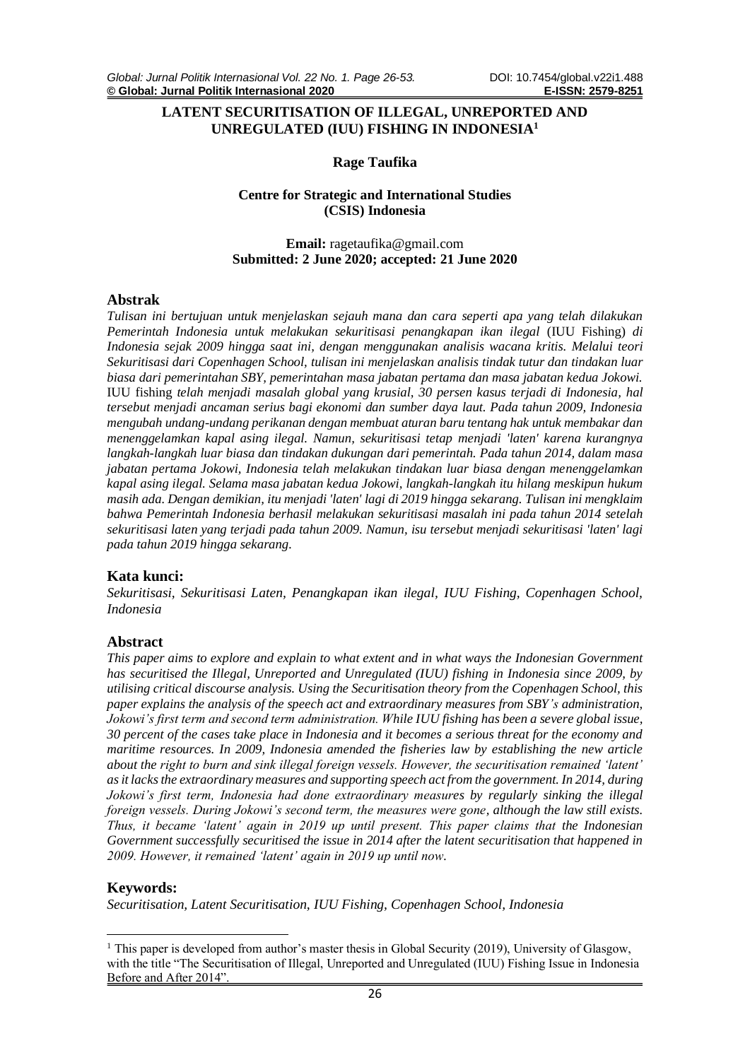# **LATENT SECURITISATION OF ILLEGAL, UNREPORTED AND UNREGULATED (IUU) FISHING IN INDONESIA<sup>1</sup>**

## **Rage Taufika**

## **Centre for Strategic and International Studies (CSIS) Indonesia**

# **Email:** ragetaufika@gmail.com **Submitted: 2 June 2020; accepted: 21 June 2020**

# **Abstrak**

*Tulisan ini bertujuan untuk menjelaskan sejauh mana dan cara seperti apa yang telah dilakukan Pemerintah Indonesia untuk melakukan sekuritisasi penangkapan ikan ilegal* (IUU Fishing) *di Indonesia sejak 2009 hingga saat ini, dengan menggunakan analisis wacana kritis. Melalui teori Sekuritisasi dari Copenhagen School, tulisan ini menjelaskan analisis tindak tutur dan tindakan luar biasa dari pemerintahan SBY, pemerintahan masa jabatan pertama dan masa jabatan kedua Jokowi.*  IUU fishing *telah menjadi masalah global yang krusial, 30 persen kasus terjadi di Indonesia, hal tersebut menjadi ancaman serius bagi ekonomi dan sumber daya laut. Pada tahun 2009, Indonesia mengubah undang-undang perikanan dengan membuat aturan baru tentang hak untuk membakar dan menenggelamkan kapal asing ilegal. Namun, sekuritisasi tetap menjadi 'laten' karena kurangnya langkah-langkah luar biasa dan tindakan dukungan dari pemerintah. Pada tahun 2014, dalam masa jabatan pertama Jokowi, Indonesia telah melakukan tindakan luar biasa dengan menenggelamkan kapal asing ilegal. Selama masa jabatan kedua Jokowi, langkah-langkah itu hilang meskipun hukum masih ada. Dengan demikian, itu menjadi 'laten' lagi di 2019 hingga sekarang. Tulisan ini mengklaim bahwa Pemerintah Indonesia berhasil melakukan sekuritisasi masalah ini pada tahun 2014 setelah sekuritisasi laten yang terjadi pada tahun 2009. Namun, isu tersebut menjadi sekuritisasi 'laten' lagi pada tahun 2019 hingga sekarang.*

#### **Kata kunci:**

*Sekuritisasi, Sekuritisasi Laten, Penangkapan ikan ilegal, IUU Fishing, Copenhagen School, Indonesia*

#### **Abstract**

*This paper aims to explore and explain to what extent and in what ways the Indonesian Government has securitised the Illegal, Unreported and Unregulated (IUU) fishing in Indonesia since 2009, by utilising critical discourse analysis. Using the Securitisation theory from the Copenhagen School, this paper explains the analysis of the speech act and extraordinary measures from SBY's administration, Jokowi's first term and second term administration. While IUU fishing has been a severe global issue, 30 percent of the cases take place in Indonesia and it becomes a serious threat for the economy and maritime resources. In 2009, Indonesia amended the fisheries law by establishing the new article about the right to burn and sink illegal foreign vessels. However, the securitisation remained 'latent' as it lacks the extraordinary measures and supporting speech act from the government. In 2014, during Jokowi's first term, Indonesia had done extraordinary measures by regularly sinking the illegal foreign vessels. During Jokowi's second term, the measures were gone, although the law still exists. Thus, it became 'latent' again in 2019 up until present. This paper claims that the Indonesian Government successfully securitised the issue in 2014 after the latent securitisation that happened in 2009. However, it remained 'latent' again in 2019 up until now.*

# **Keywords:**

*Securitisation, Latent Securitisation, IUU Fishing, Copenhagen School, Indonesia*

<sup>&</sup>lt;sup>1</sup> This paper is developed from author's master thesis in Global Security (2019), University of Glasgow, with the title "The Securitisation of Illegal, Unreported and Unregulated (IUU) Fishing Issue in Indonesia Before and After 2014".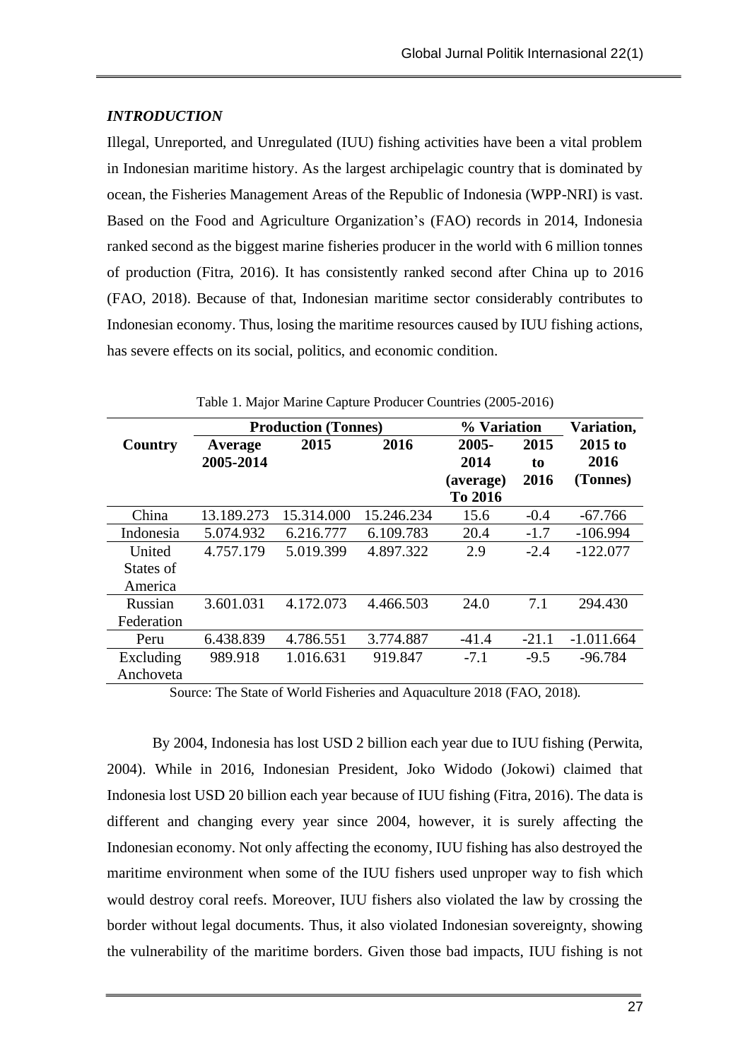# *INTRODUCTION*

Illegal, Unreported, and Unregulated (IUU) fishing activities have been a vital problem in Indonesian maritime history. As the largest archipelagic country that is dominated by ocean, the Fisheries Management Areas of the Republic of Indonesia (WPP-NRI) is vast. Based on the Food and Agriculture Organization's (FAO) records in 2014, Indonesia ranked second as the biggest marine fisheries producer in the world with 6 million tonnes of production (Fitra, 2016). It has consistently ranked second after China up to 2016 (FAO, 2018). Because of that, Indonesian maritime sector considerably contributes to Indonesian economy. Thus, losing the maritime resources caused by IUU fishing actions, has severe effects on its social, politics, and economic condition.

|            | <b>Production (Tonnes)</b> |            |            | % Variation          |            | Variation,        |
|------------|----------------------------|------------|------------|----------------------|------------|-------------------|
| Country    | Average<br>2005-2014       | 2015       | 2016       | 2005-<br>2014        | 2015<br>to | $2015$ to<br>2016 |
|            |                            |            |            | (average)<br>To 2016 | 2016       | (Tonnes)          |
| China      | 13.189.273                 | 15.314.000 | 15.246.234 | 15.6                 | $-0.4$     | $-67.766$         |
| Indonesia  | 5.074.932                  | 6.216.777  | 6.109.783  | 20.4                 | $-1.7$     | $-106.994$        |
| United     | 4.757.179                  | 5.019.399  | 4.897.322  | 2.9                  | $-2.4$     | $-122.077$        |
| States of  |                            |            |            |                      |            |                   |
| America    |                            |            |            |                      |            |                   |
| Russian    | 3.601.031                  | 4.172.073  | 4.466.503  | 24.0                 | 7.1        | 294.430           |
| Federation |                            |            |            |                      |            |                   |
| Peru       | 6.438.839                  | 4.786.551  | 3.774.887  | $-41.4$              | $-21.1$    | $-1.011.664$      |
| Excluding  | 989.918                    | 1.016.631  | 919.847    | $-7.1$               | $-9.5$     | $-96.784$         |
| Anchoveta  |                            |            |            |                      |            |                   |

Table 1. Major Marine Capture Producer Countries (2005-2016)

Source: The State of World Fisheries and Aquaculture 2018 (FAO, 2018).

By 2004, Indonesia has lost USD 2 billion each year due to IUU fishing (Perwita, 2004). While in 2016, Indonesian President, Joko Widodo (Jokowi) claimed that Indonesia lost USD 20 billion each year because of IUU fishing (Fitra, 2016). The data is different and changing every year since 2004, however, it is surely affecting the Indonesian economy. Not only affecting the economy, IUU fishing has also destroyed the maritime environment when some of the IUU fishers used unproper way to fish which would destroy coral reefs. Moreover, IUU fishers also violated the law by crossing the border without legal documents. Thus, it also violated Indonesian sovereignty, showing the vulnerability of the maritime borders. Given those bad impacts, IUU fishing is not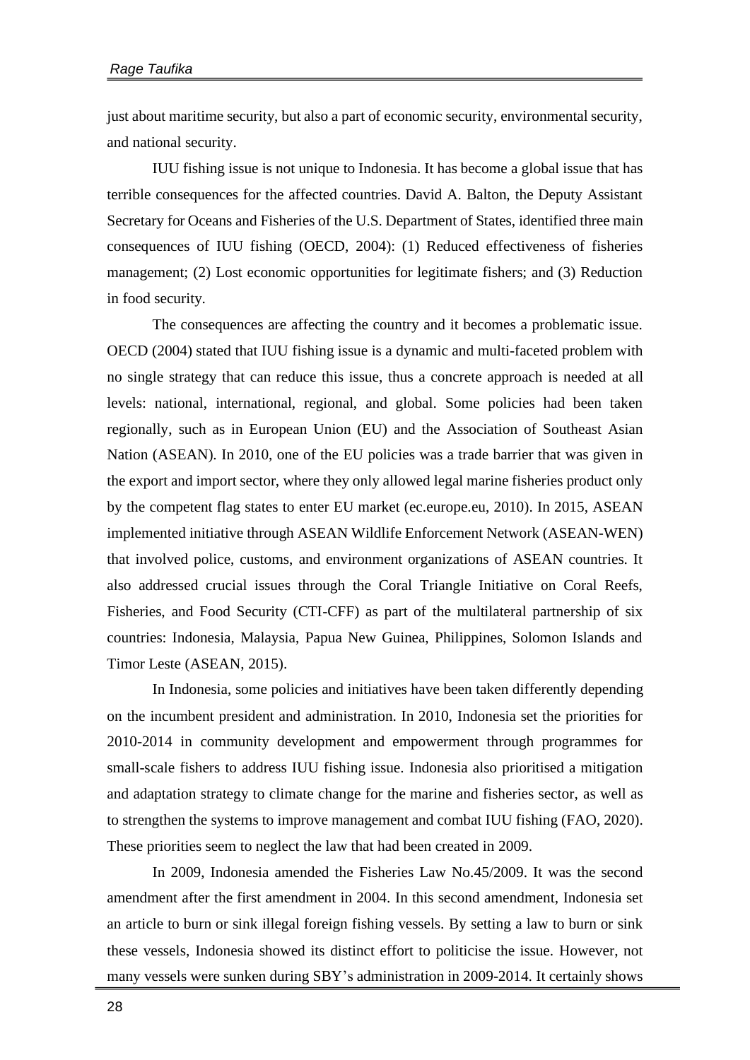just about maritime security, but also a part of economic security, environmental security, and national security.

IUU fishing issue is not unique to Indonesia. It has become a global issue that has terrible consequences for the affected countries. David A. Balton, the Deputy Assistant Secretary for Oceans and Fisheries of the U.S. Department of States, identified three main consequences of IUU fishing (OECD, 2004): (1) Reduced effectiveness of fisheries management; (2) Lost economic opportunities for legitimate fishers; and (3) Reduction in food security.

The consequences are affecting the country and it becomes a problematic issue. OECD (2004) stated that IUU fishing issue is a dynamic and multi-faceted problem with no single strategy that can reduce this issue, thus a concrete approach is needed at all levels: national, international, regional, and global. Some policies had been taken regionally, such as in European Union (EU) and the Association of Southeast Asian Nation (ASEAN). In 2010, one of the EU policies was a trade barrier that was given in the export and import sector, where they only allowed legal marine fisheries product only by the competent flag states to enter EU market (ec.europe.eu, 2010). In 2015, ASEAN implemented initiative through ASEAN Wildlife Enforcement Network (ASEAN-WEN) that involved police, customs, and environment organizations of ASEAN countries. It also addressed crucial issues through the Coral Triangle Initiative on Coral Reefs, Fisheries, and Food Security (CTI-CFF) as part of the multilateral partnership of six countries: Indonesia, Malaysia, Papua New Guinea, Philippines, Solomon Islands and Timor Leste (ASEAN, 2015).

In Indonesia, some policies and initiatives have been taken differently depending on the incumbent president and administration. In 2010, Indonesia set the priorities for 2010-2014 in community development and empowerment through programmes for small-scale fishers to address IUU fishing issue. Indonesia also prioritised a mitigation and adaptation strategy to climate change for the marine and fisheries sector, as well as to strengthen the systems to improve management and combat IUU fishing (FAO, 2020). These priorities seem to neglect the law that had been created in 2009.

In 2009, Indonesia amended the Fisheries Law No.45/2009. It was the second amendment after the first amendment in 2004. In this second amendment, Indonesia set an article to burn or sink illegal foreign fishing vessels. By setting a law to burn or sink these vessels, Indonesia showed its distinct effort to politicise the issue. However, not many vessels were sunken during SBY's administration in 2009-2014. It certainly shows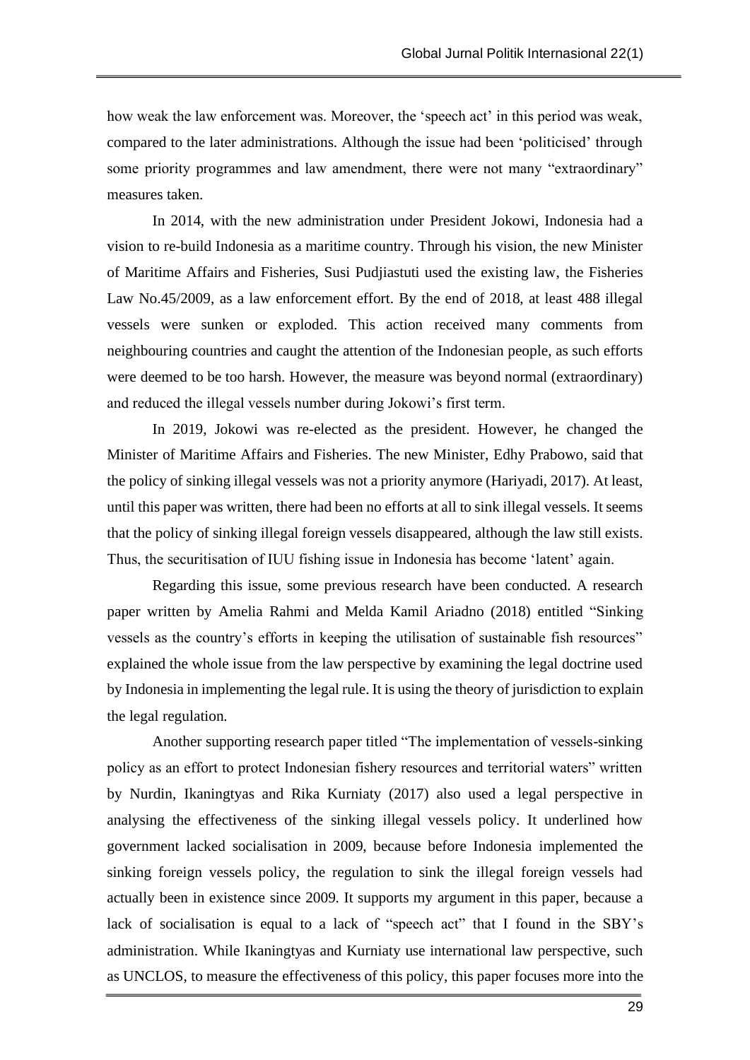how weak the law enforcement was. Moreover, the 'speech act' in this period was weak, compared to the later administrations. Although the issue had been 'politicised' through some priority programmes and law amendment, there were not many "extraordinary" measures taken.

In 2014, with the new administration under President Jokowi, Indonesia had a vision to re-build Indonesia as a maritime country. Through his vision, the new Minister of Maritime Affairs and Fisheries, Susi Pudjiastuti used the existing law, the Fisheries Law No.45/2009, as a law enforcement effort. By the end of 2018, at least 488 illegal vessels were sunken or exploded. This action received many comments from neighbouring countries and caught the attention of the Indonesian people, as such efforts were deemed to be too harsh. However, the measure was beyond normal (extraordinary) and reduced the illegal vessels number during Jokowi's first term.

In 2019, Jokowi was re-elected as the president. However, he changed the Minister of Maritime Affairs and Fisheries. The new Minister, Edhy Prabowo, said that the policy of sinking illegal vessels was not a priority anymore (Hariyadi, 2017). At least, until this paper was written, there had been no efforts at all to sink illegal vessels. It seems that the policy of sinking illegal foreign vessels disappeared, although the law still exists. Thus, the securitisation of IUU fishing issue in Indonesia has become 'latent' again.

Regarding this issue, some previous research have been conducted. A research paper written by Amelia Rahmi and Melda Kamil Ariadno (2018) entitled "Sinking vessels as the country's efforts in keeping the utilisation of sustainable fish resources" explained the whole issue from the law perspective by examining the legal doctrine used by Indonesia in implementing the legal rule. It is using the theory of jurisdiction to explain the legal regulation.

Another supporting research paper titled "The implementation of vessels-sinking policy as an effort to protect Indonesian fishery resources and territorial waters" written by Nurdin, Ikaningtyas and Rika Kurniaty (2017) also used a legal perspective in analysing the effectiveness of the sinking illegal vessels policy. It underlined how government lacked socialisation in 2009, because before Indonesia implemented the sinking foreign vessels policy, the regulation to sink the illegal foreign vessels had actually been in existence since 2009. It supports my argument in this paper, because a lack of socialisation is equal to a lack of "speech act" that I found in the SBY's administration. While Ikaningtyas and Kurniaty use international law perspective, such as UNCLOS, to measure the effectiveness of this policy, this paper focuses more into the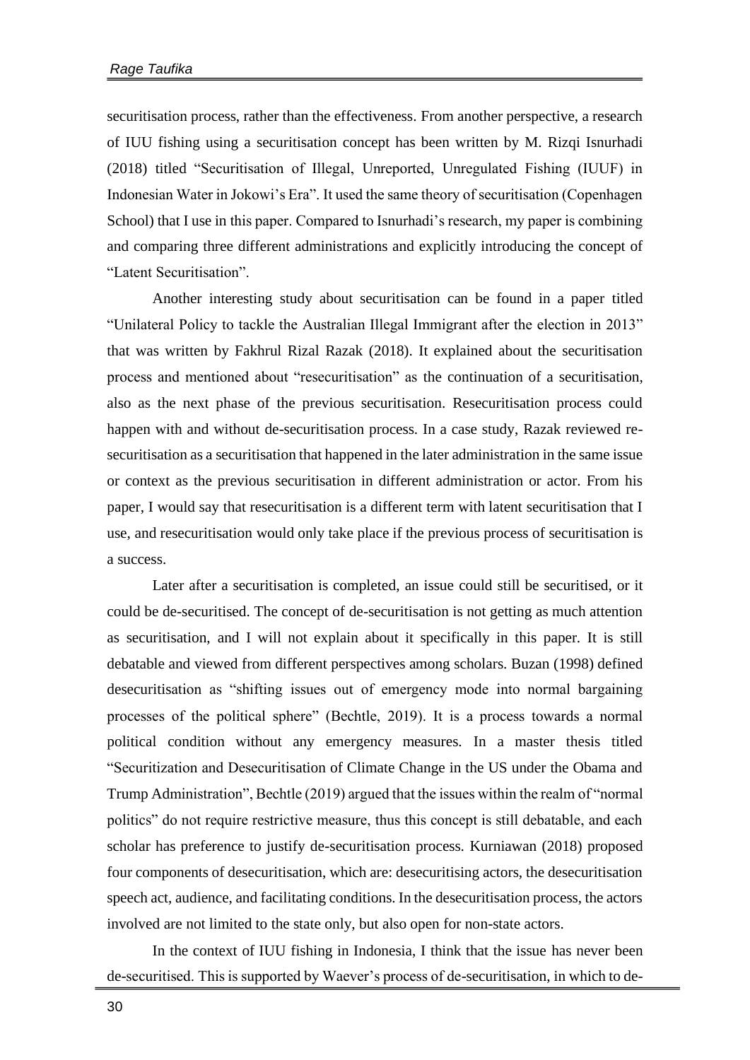securitisation process, rather than the effectiveness. From another perspective, a research of IUU fishing using a securitisation concept has been written by M. Rizqi Isnurhadi (2018) titled "Securitisation of Illegal, Unreported, Unregulated Fishing (IUUF) in Indonesian Water in Jokowi's Era". It used the same theory of securitisation (Copenhagen School) that I use in this paper. Compared to Isnurhadi's research, my paper is combining and comparing three different administrations and explicitly introducing the concept of "Latent Securitisation".

Another interesting study about securitisation can be found in a paper titled "Unilateral Policy to tackle the Australian Illegal Immigrant after the election in 2013" that was written by Fakhrul Rizal Razak (2018). It explained about the securitisation process and mentioned about "resecuritisation" as the continuation of a securitisation, also as the next phase of the previous securitisation. Resecuritisation process could happen with and without de-securitisation process. In a case study, Razak reviewed resecuritisation as a securitisation that happened in the later administration in the same issue or context as the previous securitisation in different administration or actor. From his paper, I would say that resecuritisation is a different term with latent securitisation that I use, and resecuritisation would only take place if the previous process of securitisation is a success.

Later after a securitisation is completed, an issue could still be securitised, or it could be de-securitised. The concept of de-securitisation is not getting as much attention as securitisation, and I will not explain about it specifically in this paper. It is still debatable and viewed from different perspectives among scholars. Buzan (1998) defined desecuritisation as "shifting issues out of emergency mode into normal bargaining processes of the political sphere" (Bechtle, 2019). It is a process towards a normal political condition without any emergency measures. In a master thesis titled "Securitization and Desecuritisation of Climate Change in the US under the Obama and Trump Administration", Bechtle (2019) argued that the issues within the realm of "normal politics" do not require restrictive measure, thus this concept is still debatable, and each scholar has preference to justify de-securitisation process. Kurniawan (2018) proposed four components of desecuritisation, which are: desecuritising actors, the desecuritisation speech act, audience, and facilitating conditions. In the desecuritisation process, the actors involved are not limited to the state only, but also open for non-state actors.

In the context of IUU fishing in Indonesia, I think that the issue has never been de-securitised. This is supported by Waever's process of de-securitisation, in which to de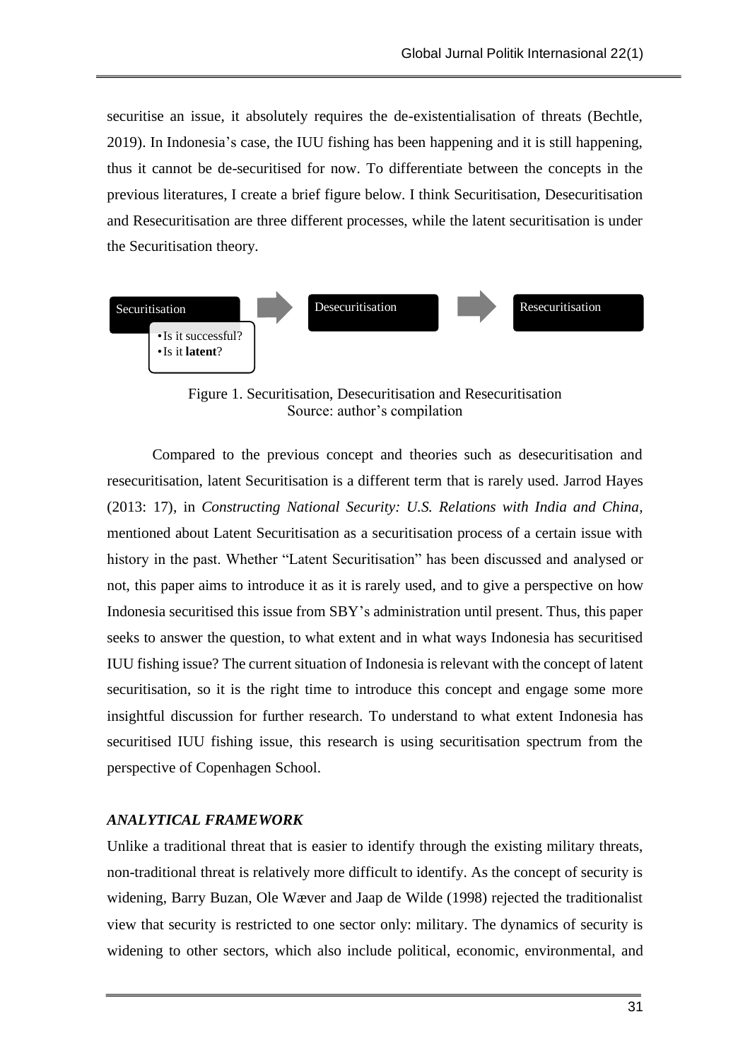securitise an issue, it absolutely requires the de-existentialisation of threats (Bechtle, 2019). In Indonesia's case, the IUU fishing has been happening and it is still happening, thus it cannot be de-securitised for now. To differentiate between the concepts in the previous literatures, I create a brief figure below. I think Securitisation, Desecuritisation and Resecuritisation are three different processes, while the latent securitisation is under the Securitisation theory.



Figure 1. Securitisation, Desecuritisation and Resecuritisation Source: author's compilation

Compared to the previous concept and theories such as desecuritisation and resecuritisation, latent Securitisation is a different term that is rarely used. Jarrod Hayes (2013: 17), in *Constructing National Security: U.S. Relations with India and China,* mentioned about Latent Securitisation as a securitisation process of a certain issue with history in the past. Whether "Latent Securitisation" has been discussed and analysed or not, this paper aims to introduce it as it is rarely used, and to give a perspective on how Indonesia securitised this issue from SBY's administration until present. Thus, this paper seeks to answer the question, to what extent and in what ways Indonesia has securitised IUU fishing issue? The current situation of Indonesia is relevant with the concept of latent securitisation, so it is the right time to introduce this concept and engage some more insightful discussion for further research. To understand to what extent Indonesia has securitised IUU fishing issue, this research is using securitisation spectrum from the perspective of Copenhagen School.

# *ANALYTICAL FRAMEWORK*

Unlike a traditional threat that is easier to identify through the existing military threats, non-traditional threat is relatively more difficult to identify. As the concept of security is widening, Barry Buzan, Ole Wæver and Jaap de Wilde (1998) rejected the traditionalist view that security is restricted to one sector only: military. The dynamics of security is widening to other sectors, which also include political, economic, environmental, and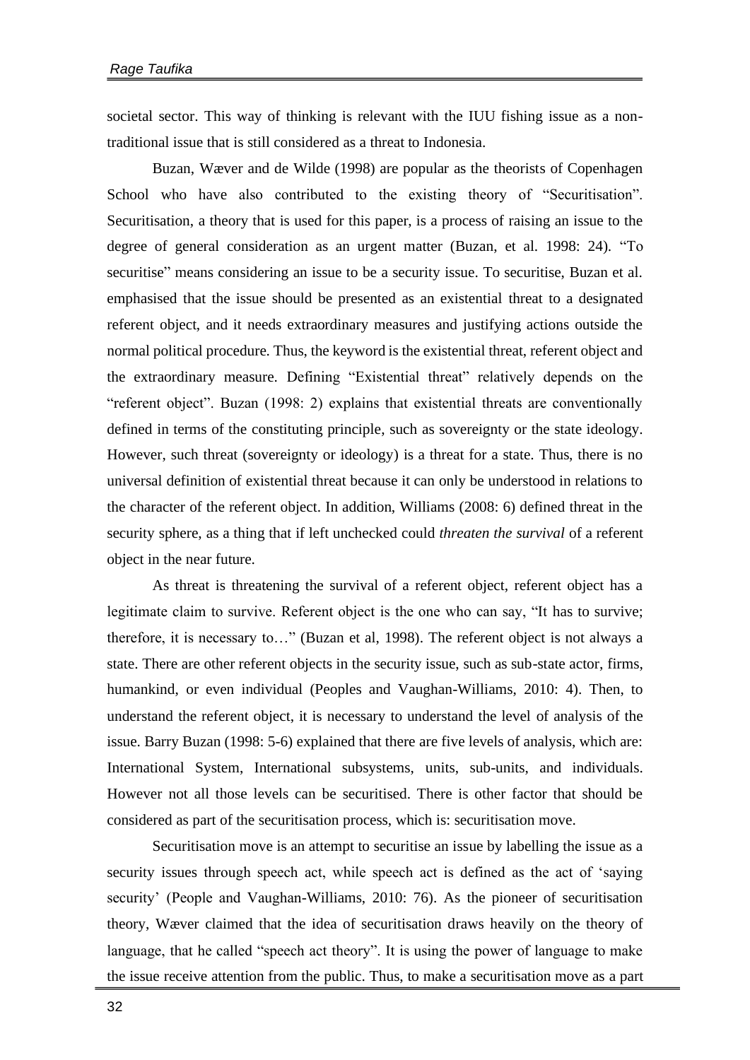societal sector. This way of thinking is relevant with the IUU fishing issue as a nontraditional issue that is still considered as a threat to Indonesia.

Buzan, Wæver and de Wilde (1998) are popular as the theorists of Copenhagen School who have also contributed to the existing theory of "Securitisation". Securitisation, a theory that is used for this paper, is a process of raising an issue to the degree of general consideration as an urgent matter (Buzan, et al. 1998: 24). "To securitise" means considering an issue to be a security issue. To securitise, Buzan et al. emphasised that the issue should be presented as an existential threat to a designated referent object, and it needs extraordinary measures and justifying actions outside the normal political procedure. Thus, the keyword is the existential threat, referent object and the extraordinary measure. Defining "Existential threat" relatively depends on the "referent object". Buzan (1998: 2) explains that existential threats are conventionally defined in terms of the constituting principle, such as sovereignty or the state ideology. However, such threat (sovereignty or ideology) is a threat for a state. Thus, there is no universal definition of existential threat because it can only be understood in relations to the character of the referent object. In addition, Williams (2008: 6) defined threat in the security sphere, as a thing that if left unchecked could *threaten the survival* of a referent object in the near future.

As threat is threatening the survival of a referent object, referent object has a legitimate claim to survive. Referent object is the one who can say, "It has to survive; therefore, it is necessary to…" (Buzan et al, 1998). The referent object is not always a state. There are other referent objects in the security issue, such as sub-state actor, firms, humankind, or even individual (Peoples and Vaughan-Williams, 2010: 4). Then, to understand the referent object, it is necessary to understand the level of analysis of the issue. Barry Buzan (1998: 5-6) explained that there are five levels of analysis, which are: International System, International subsystems, units, sub-units, and individuals. However not all those levels can be securitised. There is other factor that should be considered as part of the securitisation process, which is: securitisation move.

Securitisation move is an attempt to securitise an issue by labelling the issue as a security issues through speech act, while speech act is defined as the act of 'saying security' (People and Vaughan-Williams, 2010: 76). As the pioneer of securitisation theory, Wæver claimed that the idea of securitisation draws heavily on the theory of language, that he called "speech act theory". It is using the power of language to make the issue receive attention from the public. Thus, to make a securitisation move as a part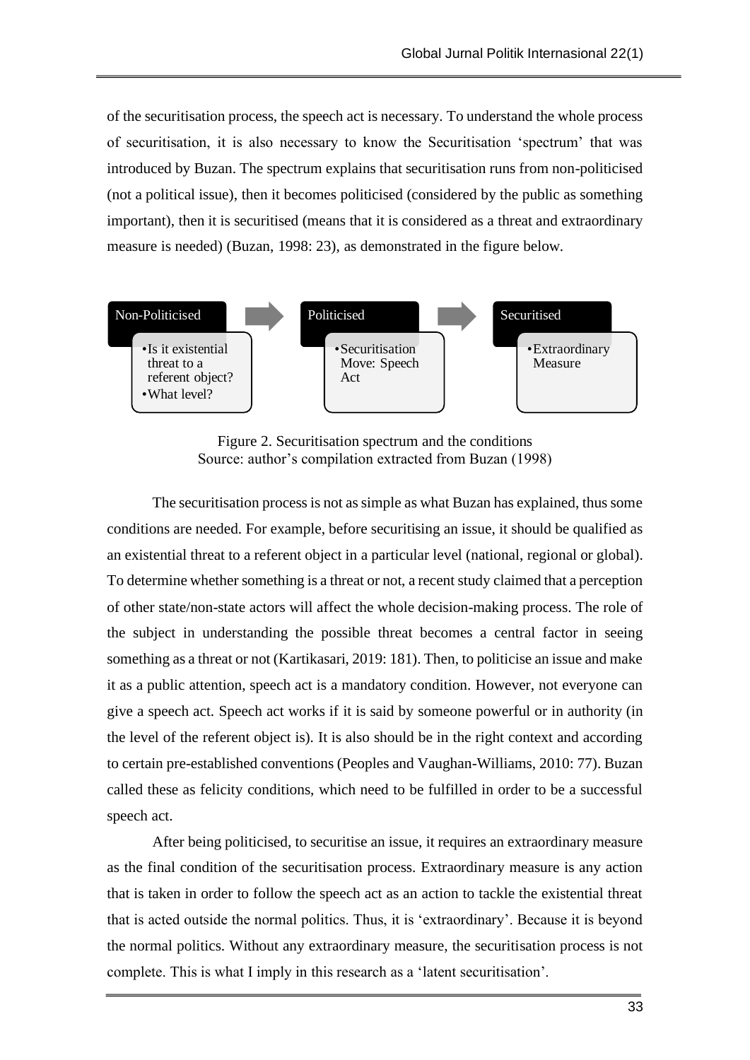of the securitisation process, the speech act is necessary. To understand the whole process of securitisation, it is also necessary to know the Securitisation 'spectrum' that was introduced by Buzan. The spectrum explains that securitisation runs from non-politicised (not a political issue), then it becomes politicised (considered by the public as something important), then it is securitised (means that it is considered as a threat and extraordinary measure is needed) (Buzan, 1998: 23), as demonstrated in the figure below.



Figure 2. Securitisation spectrum and the conditions Source: author's compilation extracted from Buzan (1998)

The securitisation process is not as simple as what Buzan has explained, thus some conditions are needed. For example, before securitising an issue, it should be qualified as an existential threat to a referent object in a particular level (national, regional or global). To determine whether something is a threat or not, a recent study claimed that a perception of other state/non-state actors will affect the whole decision-making process. The role of the subject in understanding the possible threat becomes a central factor in seeing something as a threat or not (Kartikasari, 2019: 181). Then, to politicise an issue and make it as a public attention, speech act is a mandatory condition. However, not everyone can give a speech act. Speech act works if it is said by someone powerful or in authority (in the level of the referent object is). It is also should be in the right context and according to certain pre-established conventions (Peoples and Vaughan-Williams, 2010: 77). Buzan called these as felicity conditions, which need to be fulfilled in order to be a successful speech act.

After being politicised, to securitise an issue, it requires an extraordinary measure as the final condition of the securitisation process. Extraordinary measure is any action that is taken in order to follow the speech act as an action to tackle the existential threat that is acted outside the normal politics. Thus, it is 'extraordinary'. Because it is beyond the normal politics. Without any extraordinary measure, the securitisation process is not complete. This is what I imply in this research as a 'latent securitisation'.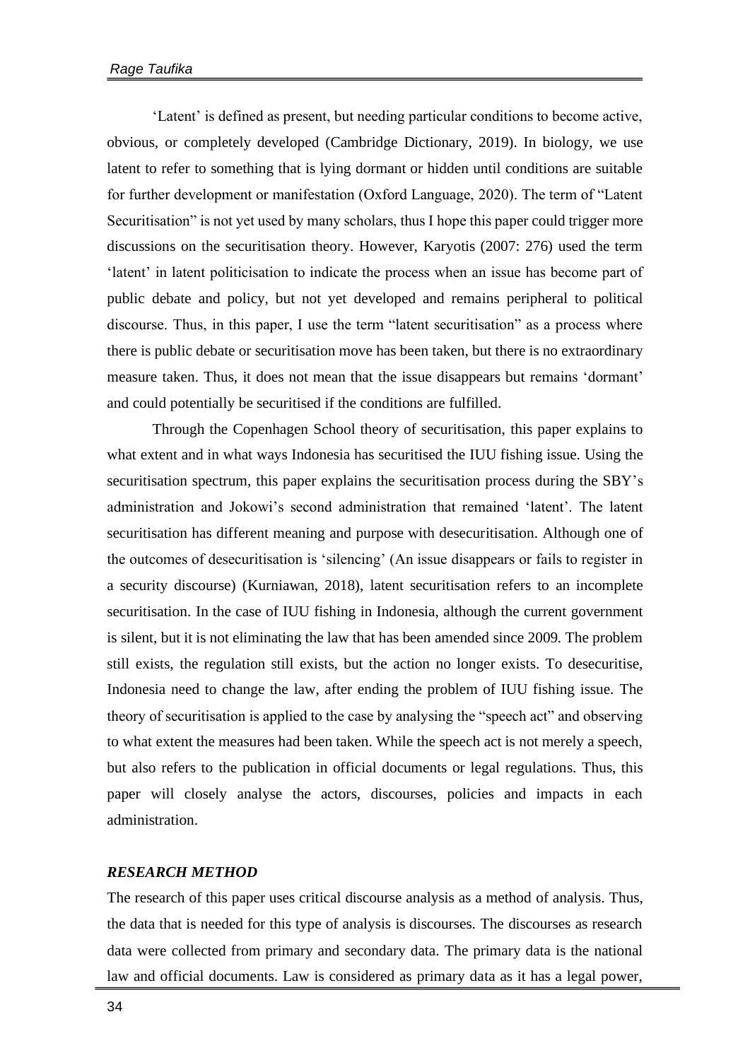'Latent' is defined as present, but needing particular conditions to become active, obvious, or completely developed (Cambridge Dictionary, 2019). In biology, we use latent to refer to something that is lying dormant or hidden until conditions are suitable for further development or manifestation (Oxford Language, 2020). The term of "Latent Securitisation" is not yet used by many scholars, thus I hope this paper could trigger more discussions on the securitisation theory. However, Karyotis (2007: 276) used the term 'latent' in latent politicisation to indicate the process when an issue has become part of public debate and policy, but not yet developed and remains peripheral to political discourse. Thus, in this paper, I use the term "latent securitisation" as a process where there is public debate or securitisation move has been taken, but there is no extraordinary measure taken. Thus, it does not mean that the issue disappears but remains 'dormant' and could potentially be securitised if the conditions are fulfilled.

Through the Copenhagen School theory of securitisation, this paper explains to what extent and in what ways Indonesia has securitised the IUU fishing issue. Using the securitisation spectrum, this paper explains the securitisation process during the SBY's administration and Jokowi's second administration that remained 'latent'. The latent securitisation has different meaning and purpose with desecuritisation. Although one of the outcomes of desecuritisation is 'silencing' (An issue disappears or fails to register in a security discourse) (Kurniawan, 2018), latent securitisation refers to an incomplete securitisation. In the case of IUU fishing in Indonesia, although the current government is silent, but it is not eliminating the law that has been amended since 2009. The problem still exists, the regulation still exists, but the action no longer exists. To desecuritise, Indonesia need to change the law, after ending the problem of IUU fishing issue. The theory of securitisation is applied to the case by analysing the "speech act" and observing to what extent the measures had been taken. While the speech act is not merely a speech, but also refers to the publication in official documents or legal regulations. Thus, this paper will closely analyse the actors, discourses, policies and impacts in each administration.

#### *RESEARCH METHOD*

The research of this paper uses critical discourse analysis as a method of analysis. Thus, the data that is needed for this type of analysis is discourses. The discourses as research data were collected from primary and secondary data. The primary data is the national law and official documents. Law is considered as primary data as it has a legal power,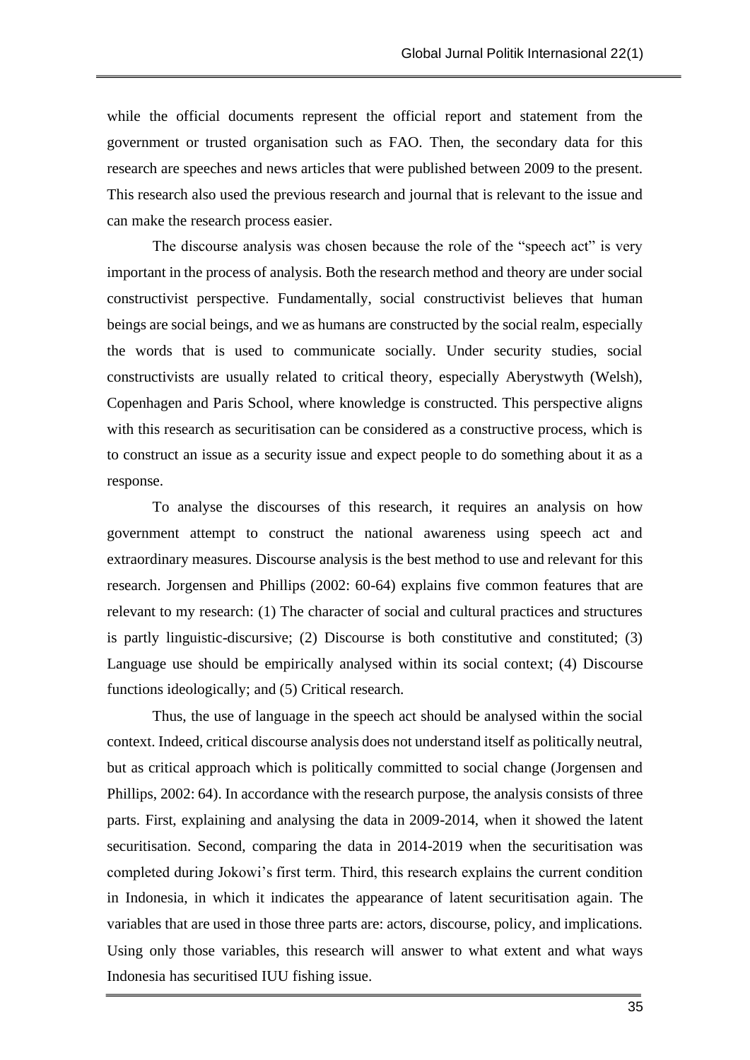while the official documents represent the official report and statement from the government or trusted organisation such as FAO. Then, the secondary data for this research are speeches and news articles that were published between 2009 to the present. This research also used the previous research and journal that is relevant to the issue and can make the research process easier.

The discourse analysis was chosen because the role of the "speech act" is very important in the process of analysis. Both the research method and theory are under social constructivist perspective. Fundamentally, social constructivist believes that human beings are social beings, and we as humans are constructed by the social realm, especially the words that is used to communicate socially. Under security studies, social constructivists are usually related to critical theory, especially Aberystwyth (Welsh), Copenhagen and Paris School, where knowledge is constructed. This perspective aligns with this research as securitisation can be considered as a constructive process, which is to construct an issue as a security issue and expect people to do something about it as a response.

To analyse the discourses of this research, it requires an analysis on how government attempt to construct the national awareness using speech act and extraordinary measures. Discourse analysis is the best method to use and relevant for this research. Jorgensen and Phillips (2002: 60-64) explains five common features that are relevant to my research: (1) The character of social and cultural practices and structures is partly linguistic-discursive; (2) Discourse is both constitutive and constituted; (3) Language use should be empirically analysed within its social context; (4) Discourse functions ideologically; and (5) Critical research.

Thus, the use of language in the speech act should be analysed within the social context. Indeed, critical discourse analysis does not understand itself as politically neutral, but as critical approach which is politically committed to social change (Jorgensen and Phillips, 2002: 64). In accordance with the research purpose, the analysis consists of three parts. First, explaining and analysing the data in 2009-2014, when it showed the latent securitisation. Second, comparing the data in 2014-2019 when the securitisation was completed during Jokowi's first term. Third, this research explains the current condition in Indonesia, in which it indicates the appearance of latent securitisation again. The variables that are used in those three parts are: actors, discourse, policy, and implications. Using only those variables, this research will answer to what extent and what ways Indonesia has securitised IUU fishing issue.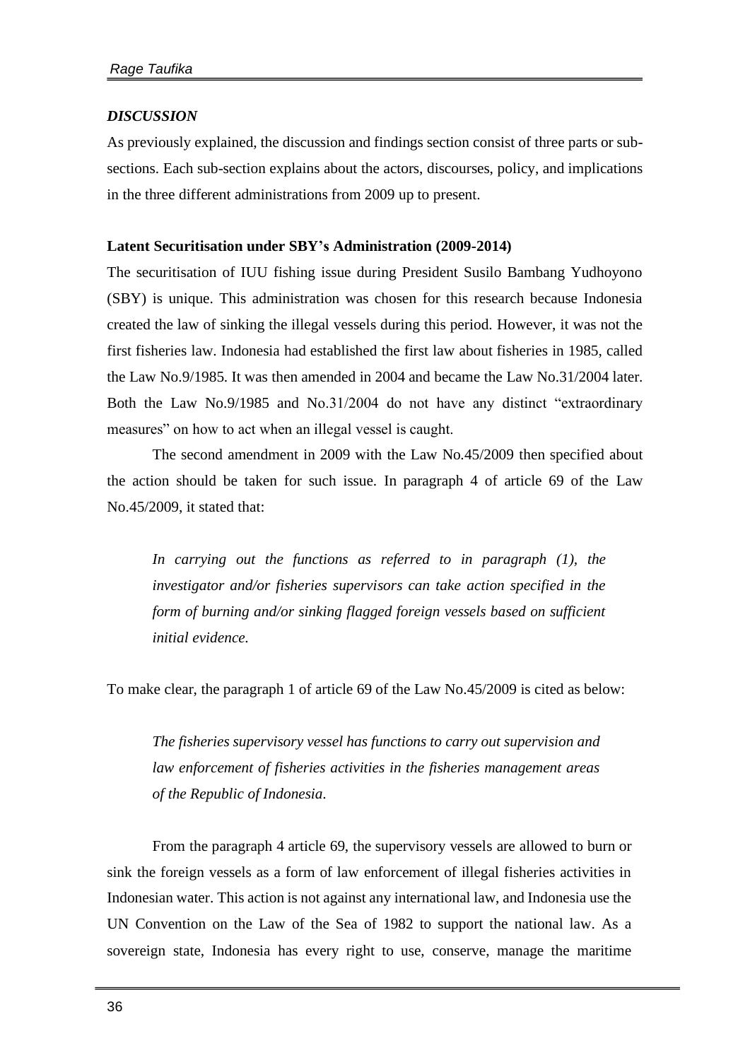## *DISCUSSION*

As previously explained, the discussion and findings section consist of three parts or subsections. Each sub-section explains about the actors, discourses, policy, and implications in the three different administrations from 2009 up to present.

## **Latent Securitisation under SBY's Administration (2009-2014)**

The securitisation of IUU fishing issue during President Susilo Bambang Yudhoyono (SBY) is unique. This administration was chosen for this research because Indonesia created the law of sinking the illegal vessels during this period. However, it was not the first fisheries law. Indonesia had established the first law about fisheries in 1985, called the Law No.9/1985. It was then amended in 2004 and became the Law No.31/2004 later. Both the Law No.9/1985 and No.31/2004 do not have any distinct "extraordinary measures" on how to act when an illegal vessel is caught.

The second amendment in 2009 with the Law No.45/2009 then specified about the action should be taken for such issue. In paragraph 4 of article 69 of the Law No.45/2009, it stated that:

*In carrying out the functions as referred to in paragraph (1), the investigator and/or fisheries supervisors can take action specified in the form of burning and/or sinking flagged foreign vessels based on sufficient initial evidence.*

To make clear, the paragraph 1 of article 69 of the Law No.45/2009 is cited as below:

*The fisheries supervisory vessel has functions to carry out supervision and law enforcement of fisheries activities in the fisheries management areas of the Republic of Indonesia.*

From the paragraph 4 article 69, the supervisory vessels are allowed to burn or sink the foreign vessels as a form of law enforcement of illegal fisheries activities in Indonesian water. This action is not against any international law, and Indonesia use the UN Convention on the Law of the Sea of 1982 to support the national law. As a sovereign state, Indonesia has every right to use, conserve, manage the maritime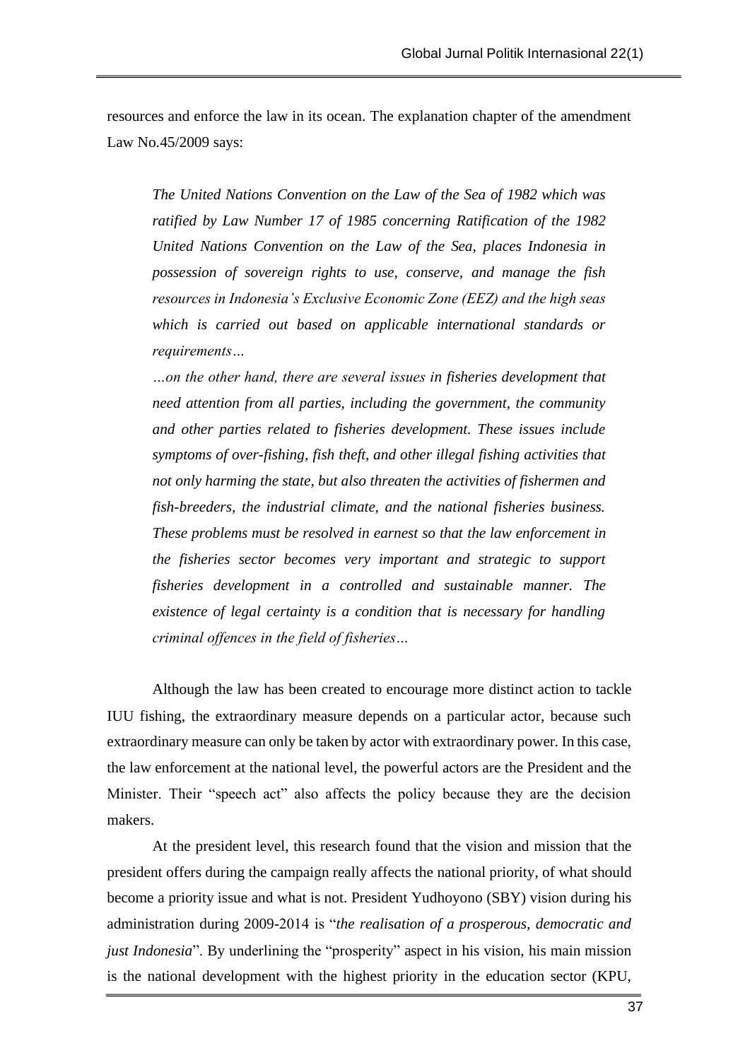resources and enforce the law in its ocean. The explanation chapter of the amendment Law No.45/2009 says:

*The United Nations Convention on the Law of the Sea of 1982 which was ratified by Law Number 17 of 1985 concerning Ratification of the 1982 United Nations Convention on the Law of the Sea, places Indonesia in possession of sovereign rights to use, conserve, and manage the fish resources in Indonesia's Exclusive Economic Zone (EEZ) and the high seas which is carried out based on applicable international standards or requirements…*

*…on the other hand, there are several issues in fisheries development that need attention from all parties, including the government, the community and other parties related to fisheries development. These issues include symptoms of over-fishing, fish theft, and other illegal fishing activities that not only harming the state, but also threaten the activities of fishermen and fish-breeders, the industrial climate, and the national fisheries business. These problems must be resolved in earnest so that the law enforcement in the fisheries sector becomes very important and strategic to support fisheries development in a controlled and sustainable manner. The existence of legal certainty is a condition that is necessary for handling criminal offences in the field of fisheries…*

Although the law has been created to encourage more distinct action to tackle IUU fishing, the extraordinary measure depends on a particular actor, because such extraordinary measure can only be taken by actor with extraordinary power. In this case, the law enforcement at the national level, the powerful actors are the President and the Minister. Their "speech act" also affects the policy because they are the decision makers.

At the president level, this research found that the vision and mission that the president offers during the campaign really affects the national priority, of what should become a priority issue and what is not. President Yudhoyono (SBY) vision during his administration during 2009-2014 is "*the realisation of a prosperous, democratic and just Indonesia*". By underlining the "prosperity" aspect in his vision, his main mission is the national development with the highest priority in the education sector (KPU,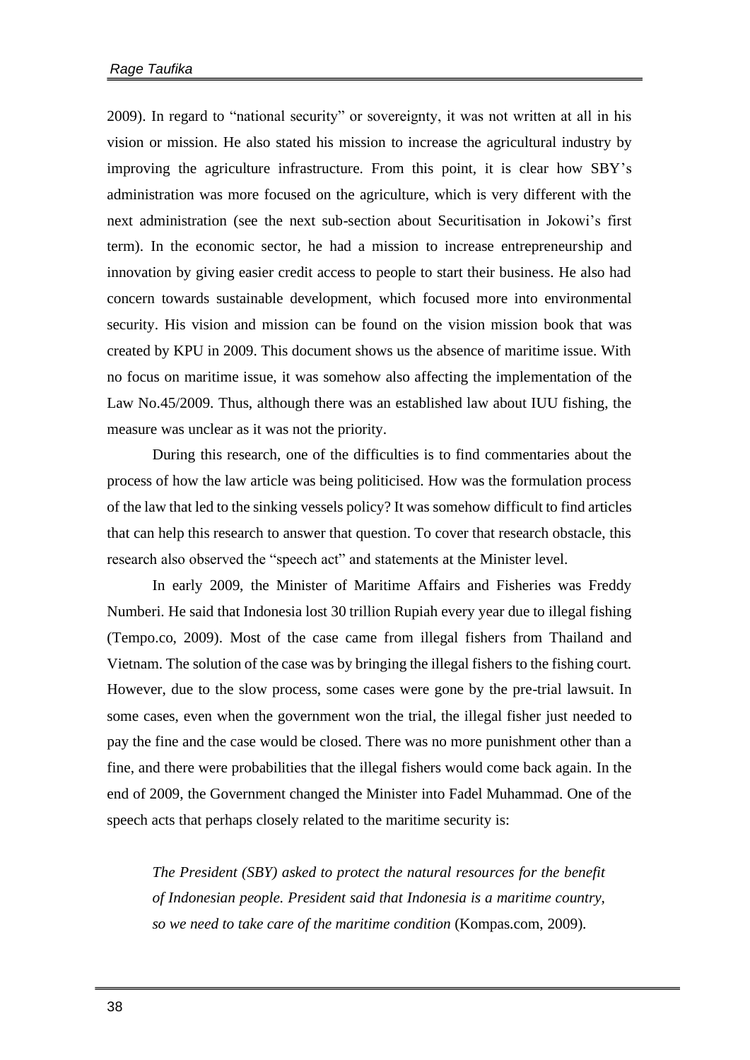2009). In regard to "national security" or sovereignty, it was not written at all in his vision or mission. He also stated his mission to increase the agricultural industry by improving the agriculture infrastructure. From this point, it is clear how SBY's administration was more focused on the agriculture, which is very different with the next administration (see the next sub-section about Securitisation in Jokowi's first term). In the economic sector, he had a mission to increase entrepreneurship and innovation by giving easier credit access to people to start their business. He also had concern towards sustainable development, which focused more into environmental security. His vision and mission can be found on the vision mission book that was created by KPU in 2009. This document shows us the absence of maritime issue. With no focus on maritime issue, it was somehow also affecting the implementation of the Law No.45/2009. Thus, although there was an established law about IUU fishing, the measure was unclear as it was not the priority.

During this research, one of the difficulties is to find commentaries about the process of how the law article was being politicised. How was the formulation process of the law that led to the sinking vessels policy? It was somehow difficult to find articles that can help this research to answer that question. To cover that research obstacle, this research also observed the "speech act" and statements at the Minister level.

In early 2009, the Minister of Maritime Affairs and Fisheries was Freddy Numberi. He said that Indonesia lost 30 trillion Rupiah every year due to illegal fishing (Tempo.co, 2009). Most of the case came from illegal fishers from Thailand and Vietnam. The solution of the case was by bringing the illegal fishers to the fishing court. However, due to the slow process, some cases were gone by the pre-trial lawsuit. In some cases, even when the government won the trial, the illegal fisher just needed to pay the fine and the case would be closed. There was no more punishment other than a fine, and there were probabilities that the illegal fishers would come back again. In the end of 2009, the Government changed the Minister into Fadel Muhammad. One of the speech acts that perhaps closely related to the maritime security is:

*The President (SBY) asked to protect the natural resources for the benefit of Indonesian people. President said that Indonesia is a maritime country, so we need to take care of the maritime condition* (Kompas.com, 2009).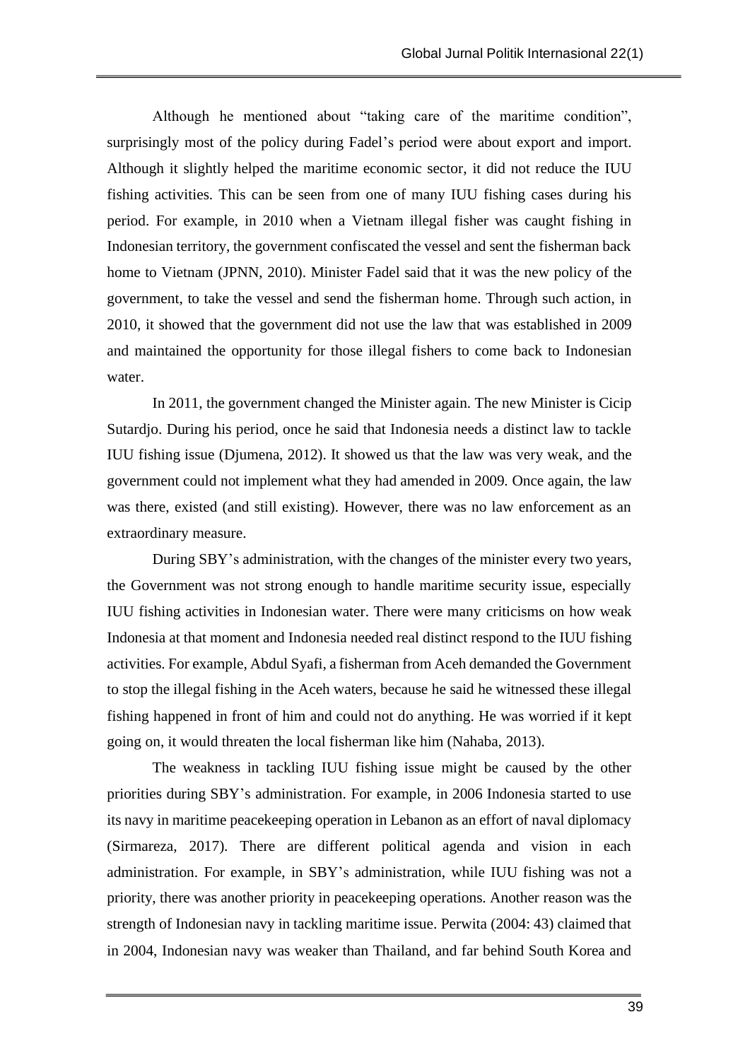Although he mentioned about "taking care of the maritime condition", surprisingly most of the policy during Fadel's period were about export and import. Although it slightly helped the maritime economic sector, it did not reduce the IUU fishing activities. This can be seen from one of many IUU fishing cases during his period. For example, in 2010 when a Vietnam illegal fisher was caught fishing in Indonesian territory, the government confiscated the vessel and sent the fisherman back home to Vietnam (JPNN, 2010). Minister Fadel said that it was the new policy of the government, to take the vessel and send the fisherman home. Through such action, in 2010, it showed that the government did not use the law that was established in 2009 and maintained the opportunity for those illegal fishers to come back to Indonesian water.

In 2011, the government changed the Minister again. The new Minister is Cicip Sutardjo. During his period, once he said that Indonesia needs a distinct law to tackle IUU fishing issue (Djumena, 2012). It showed us that the law was very weak, and the government could not implement what they had amended in 2009. Once again, the law was there, existed (and still existing). However, there was no law enforcement as an extraordinary measure.

During SBY's administration, with the changes of the minister every two years, the Government was not strong enough to handle maritime security issue, especially IUU fishing activities in Indonesian water. There were many criticisms on how weak Indonesia at that moment and Indonesia needed real distinct respond to the IUU fishing activities. For example, Abdul Syafi, a fisherman from Aceh demanded the Government to stop the illegal fishing in the Aceh waters, because he said he witnessed these illegal fishing happened in front of him and could not do anything. He was worried if it kept going on, it would threaten the local fisherman like him (Nahaba, 2013).

The weakness in tackling IUU fishing issue might be caused by the other priorities during SBY's administration. For example, in 2006 Indonesia started to use its navy in maritime peacekeeping operation in Lebanon as an effort of naval diplomacy (Sirmareza, 2017). There are different political agenda and vision in each administration. For example, in SBY's administration, while IUU fishing was not a priority, there was another priority in peacekeeping operations. Another reason was the strength of Indonesian navy in tackling maritime issue. Perwita (2004: 43) claimed that in 2004, Indonesian navy was weaker than Thailand, and far behind South Korea and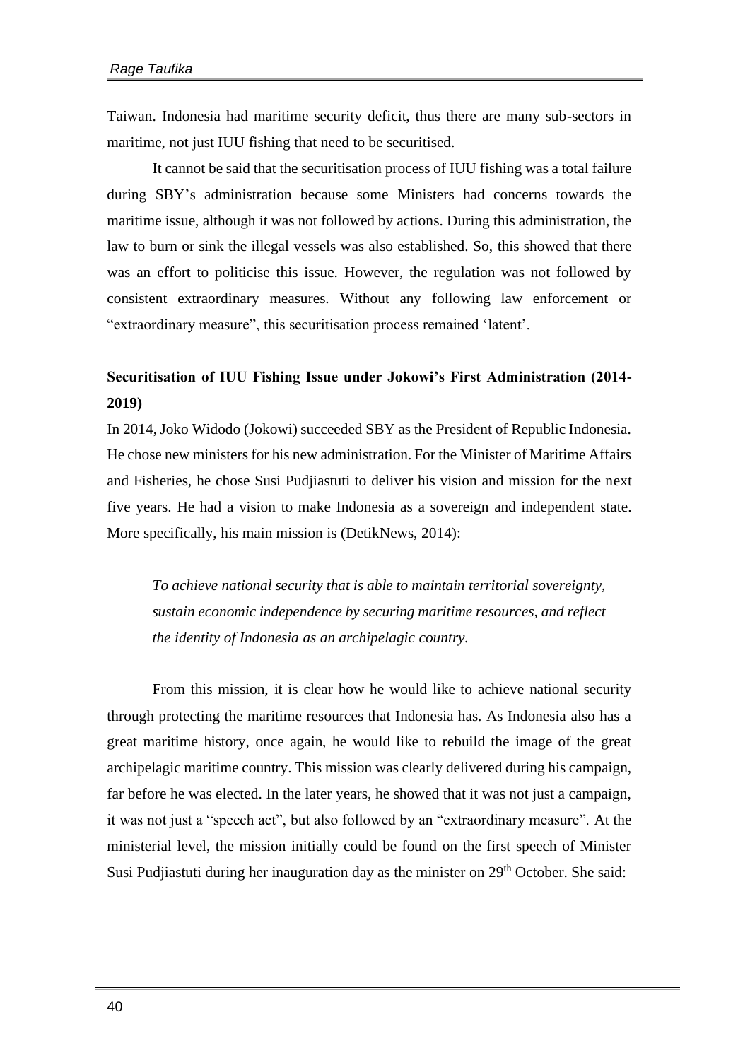Taiwan. Indonesia had maritime security deficit, thus there are many sub-sectors in maritime, not just IUU fishing that need to be securitised.

It cannot be said that the securitisation process of IUU fishing was a total failure during SBY's administration because some Ministers had concerns towards the maritime issue, although it was not followed by actions. During this administration, the law to burn or sink the illegal vessels was also established. So, this showed that there was an effort to politicise this issue. However, the regulation was not followed by consistent extraordinary measures. Without any following law enforcement or "extraordinary measure", this securitisation process remained 'latent'.

# **Securitisation of IUU Fishing Issue under Jokowi's First Administration (2014- 2019)**

In 2014, Joko Widodo (Jokowi) succeeded SBY as the President of Republic Indonesia. He chose new ministers for his new administration. For the Minister of Maritime Affairs and Fisheries, he chose Susi Pudjiastuti to deliver his vision and mission for the next five years. He had a vision to make Indonesia as a sovereign and independent state. More specifically, his main mission is (DetikNews, 2014):

*To achieve national security that is able to maintain territorial sovereignty, sustain economic independence by securing maritime resources, and reflect the identity of Indonesia as an archipelagic country.*

From this mission, it is clear how he would like to achieve national security through protecting the maritime resources that Indonesia has. As Indonesia also has a great maritime history, once again, he would like to rebuild the image of the great archipelagic maritime country. This mission was clearly delivered during his campaign, far before he was elected. In the later years, he showed that it was not just a campaign, it was not just a "speech act", but also followed by an "extraordinary measure". At the ministerial level, the mission initially could be found on the first speech of Minister Susi Pudjiastuti during her inauguration day as the minister on 29<sup>th</sup> October. She said: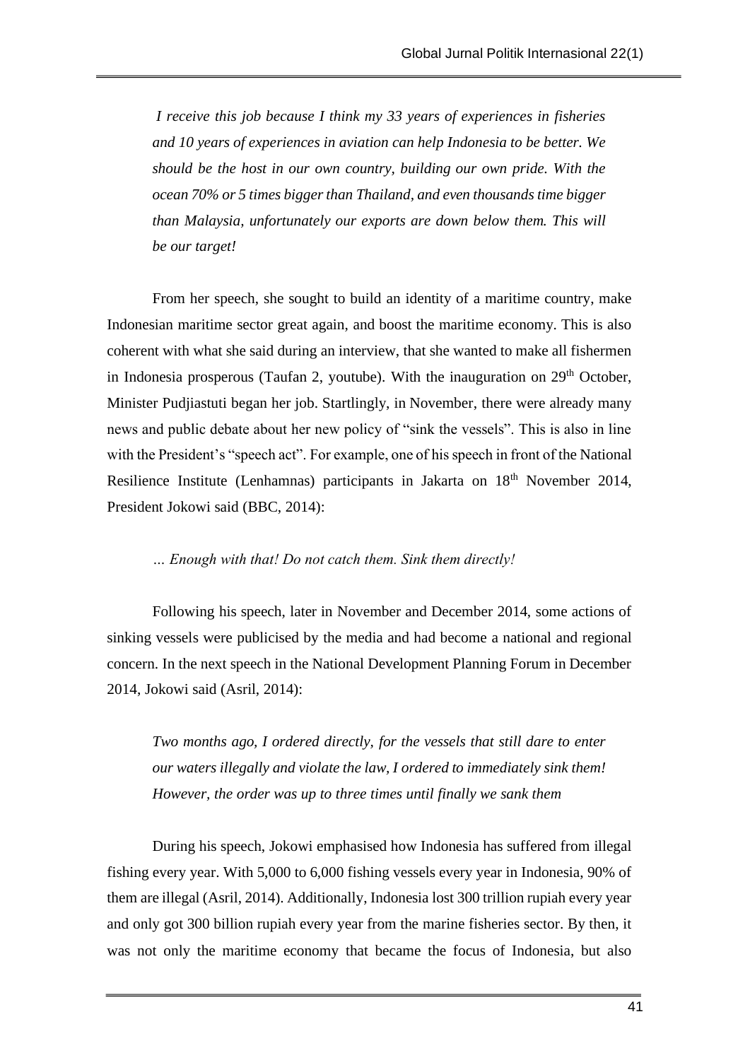*I receive this job because I think my 33 years of experiences in fisheries and 10 years of experiences in aviation can help Indonesia to be better. We should be the host in our own country, building our own pride. With the ocean 70% or 5 times bigger than Thailand, and even thousands time bigger than Malaysia, unfortunately our exports are down below them. This will be our target!*

From her speech, she sought to build an identity of a maritime country, make Indonesian maritime sector great again, and boost the maritime economy. This is also coherent with what she said during an interview, that she wanted to make all fishermen in Indonesia prosperous (Taufan 2, youtube). With the inauguration on  $29<sup>th</sup>$  October, Minister Pudjiastuti began her job. Startlingly, in November, there were already many news and public debate about her new policy of "sink the vessels". This is also in line with the President's "speech act". For example, one of his speech in front of the National Resilience Institute (Lenhamnas) participants in Jakarta on 18<sup>th</sup> November 2014, President Jokowi said (BBC, 2014):

# *… Enough with that! Do not catch them. Sink them directly!*

Following his speech, later in November and December 2014, some actions of sinking vessels were publicised by the media and had become a national and regional concern. In the next speech in the National Development Planning Forum in December 2014, Jokowi said (Asril, 2014):

*Two months ago, I ordered directly, for the vessels that still dare to enter our waters illegally and violate the law, I ordered to immediately sink them! However, the order was up to three times until finally we sank them*

During his speech, Jokowi emphasised how Indonesia has suffered from illegal fishing every year. With 5,000 to 6,000 fishing vessels every year in Indonesia, 90% of them are illegal (Asril, 2014). Additionally, Indonesia lost 300 trillion rupiah every year and only got 300 billion rupiah every year from the marine fisheries sector. By then, it was not only the maritime economy that became the focus of Indonesia, but also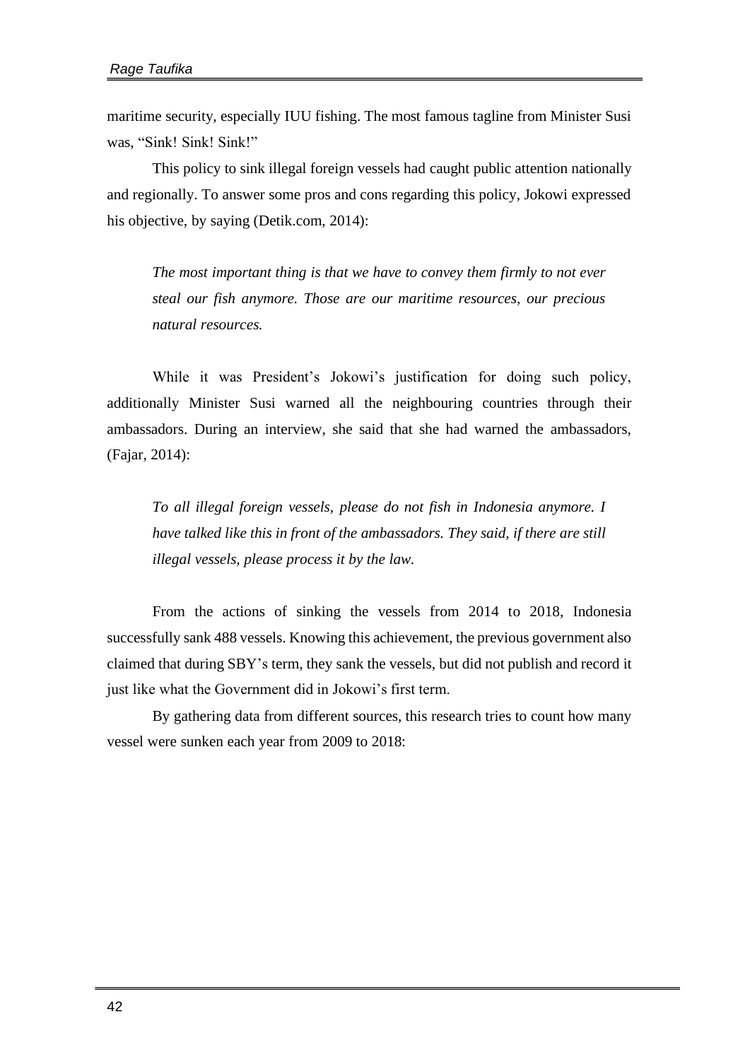maritime security, especially IUU fishing. The most famous tagline from Minister Susi was, "Sink! Sink! Sink!"

This policy to sink illegal foreign vessels had caught public attention nationally and regionally. To answer some pros and cons regarding this policy, Jokowi expressed his objective, by saying (Detik.com, 2014):

*The most important thing is that we have to convey them firmly to not ever steal our fish anymore. Those are our maritime resources, our precious natural resources.*

While it was President's Jokowi's justification for doing such policy, additionally Minister Susi warned all the neighbouring countries through their ambassadors. During an interview, she said that she had warned the ambassadors, (Fajar, 2014):

*To all illegal foreign vessels, please do not fish in Indonesia anymore. I have talked like this in front of the ambassadors. They said, if there are still illegal vessels, please process it by the law.*

From the actions of sinking the vessels from 2014 to 2018, Indonesia successfully sank 488 vessels. Knowing this achievement, the previous government also claimed that during SBY's term, they sank the vessels, but did not publish and record it just like what the Government did in Jokowi's first term.

By gathering data from different sources, this research tries to count how many vessel were sunken each year from 2009 to 2018: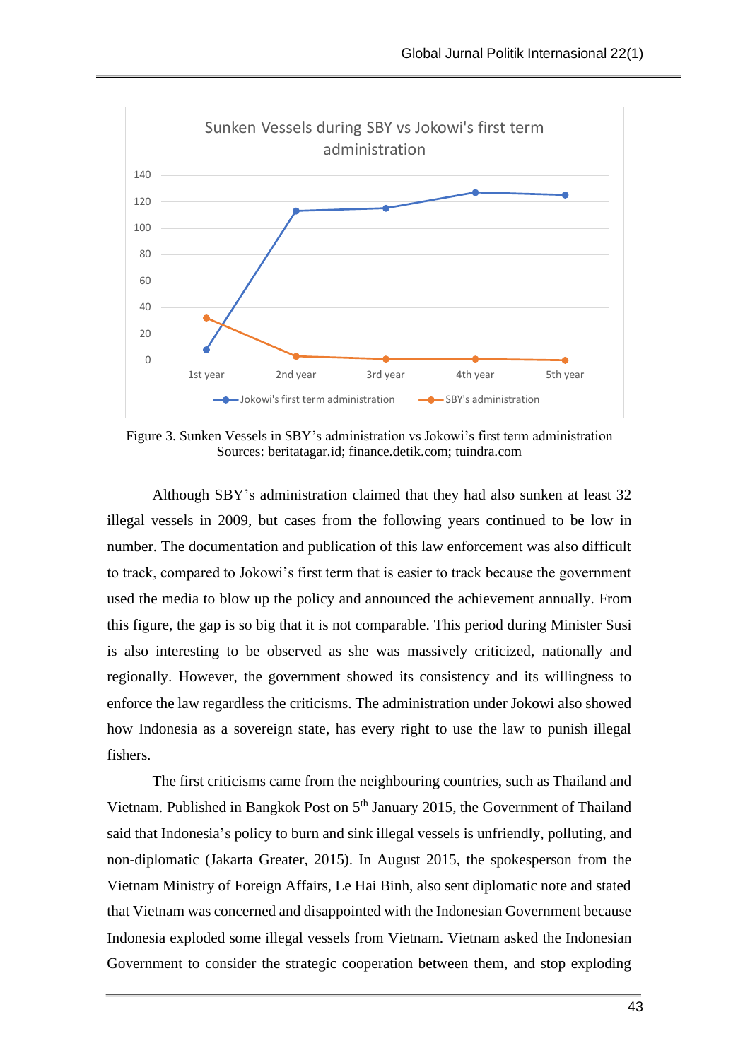

Figure 3. Sunken Vessels in SBY's administration vs Jokowi's first term administration Sources: beritatagar.id; finance.detik.com; tuindra.com

Although SBY's administration claimed that they had also sunken at least 32 illegal vessels in 2009, but cases from the following years continued to be low in number. The documentation and publication of this law enforcement was also difficult to track, compared to Jokowi's first term that is easier to track because the government used the media to blow up the policy and announced the achievement annually. From this figure, the gap is so big that it is not comparable. This period during Minister Susi is also interesting to be observed as she was massively criticized, nationally and regionally. However, the government showed its consistency and its willingness to enforce the law regardless the criticisms. The administration under Jokowi also showed how Indonesia as a sovereign state, has every right to use the law to punish illegal fishers.

The first criticisms came from the neighbouring countries, such as Thailand and Vietnam. Published in Bangkok Post on 5<sup>th</sup> January 2015, the Government of Thailand said that Indonesia's policy to burn and sink illegal vessels is unfriendly, polluting, and non-diplomatic (Jakarta Greater, 2015). In August 2015, the spokesperson from the Vietnam Ministry of Foreign Affairs, Le Hai Binh, also sent diplomatic note and stated that Vietnam was concerned and disappointed with the Indonesian Government because Indonesia exploded some illegal vessels from Vietnam. Vietnam asked the Indonesian Government to consider the strategic cooperation between them, and stop exploding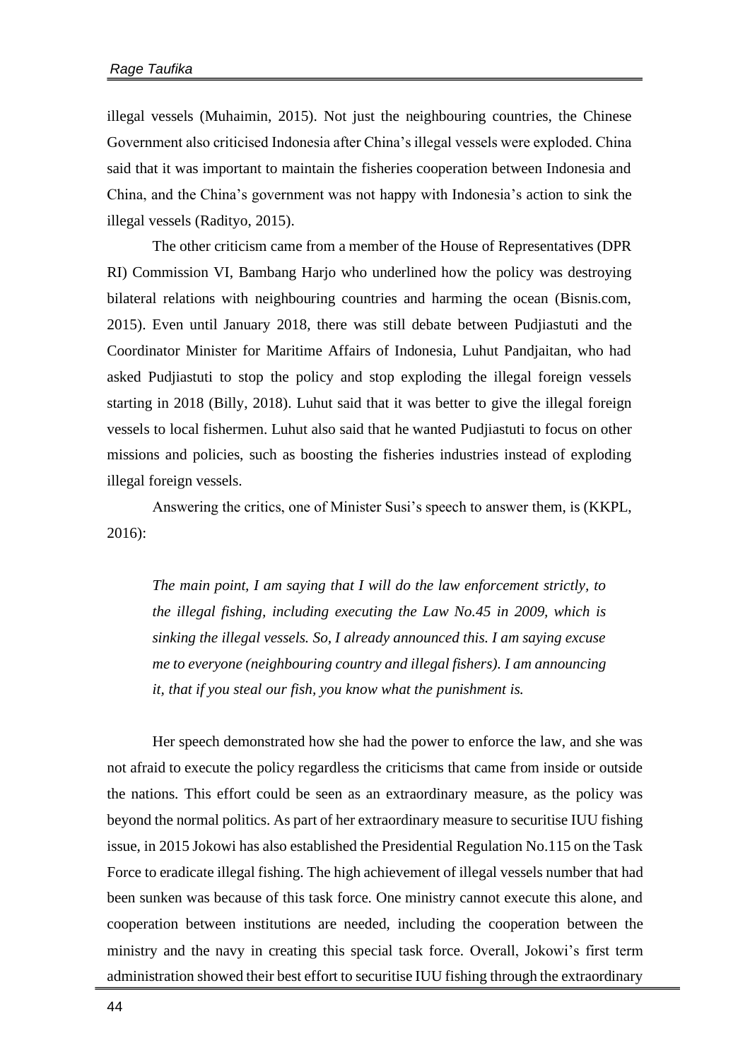illegal vessels (Muhaimin, 2015). Not just the neighbouring countries, the Chinese Government also criticised Indonesia after China's illegal vessels were exploded. China said that it was important to maintain the fisheries cooperation between Indonesia and China, and the China's government was not happy with Indonesia's action to sink the illegal vessels (Radityo, 2015).

The other criticism came from a member of the House of Representatives (DPR RI) Commission VI, Bambang Harjo who underlined how the policy was destroying bilateral relations with neighbouring countries and harming the ocean (Bisnis.com, 2015). Even until January 2018, there was still debate between Pudjiastuti and the Coordinator Minister for Maritime Affairs of Indonesia, Luhut Pandjaitan, who had asked Pudjiastuti to stop the policy and stop exploding the illegal foreign vessels starting in 2018 (Billy, 2018). Luhut said that it was better to give the illegal foreign vessels to local fishermen. Luhut also said that he wanted Pudjiastuti to focus on other missions and policies, such as boosting the fisheries industries instead of exploding illegal foreign vessels.

Answering the critics, one of Minister Susi's speech to answer them, is (KKPL, 2016):

*The main point, I am saying that I will do the law enforcement strictly, to the illegal fishing, including executing the Law No.45 in 2009, which is sinking the illegal vessels. So, I already announced this. I am saying excuse me to everyone (neighbouring country and illegal fishers). I am announcing it, that if you steal our fish, you know what the punishment is.*

Her speech demonstrated how she had the power to enforce the law, and she was not afraid to execute the policy regardless the criticisms that came from inside or outside the nations. This effort could be seen as an extraordinary measure, as the policy was beyond the normal politics. As part of her extraordinary measure to securitise IUU fishing issue, in 2015 Jokowi has also established the Presidential Regulation No.115 on the Task Force to eradicate illegal fishing. The high achievement of illegal vessels number that had been sunken was because of this task force. One ministry cannot execute this alone, and cooperation between institutions are needed, including the cooperation between the ministry and the navy in creating this special task force. Overall, Jokowi's first term administration showed their best effort to securitise IUU fishing through the extraordinary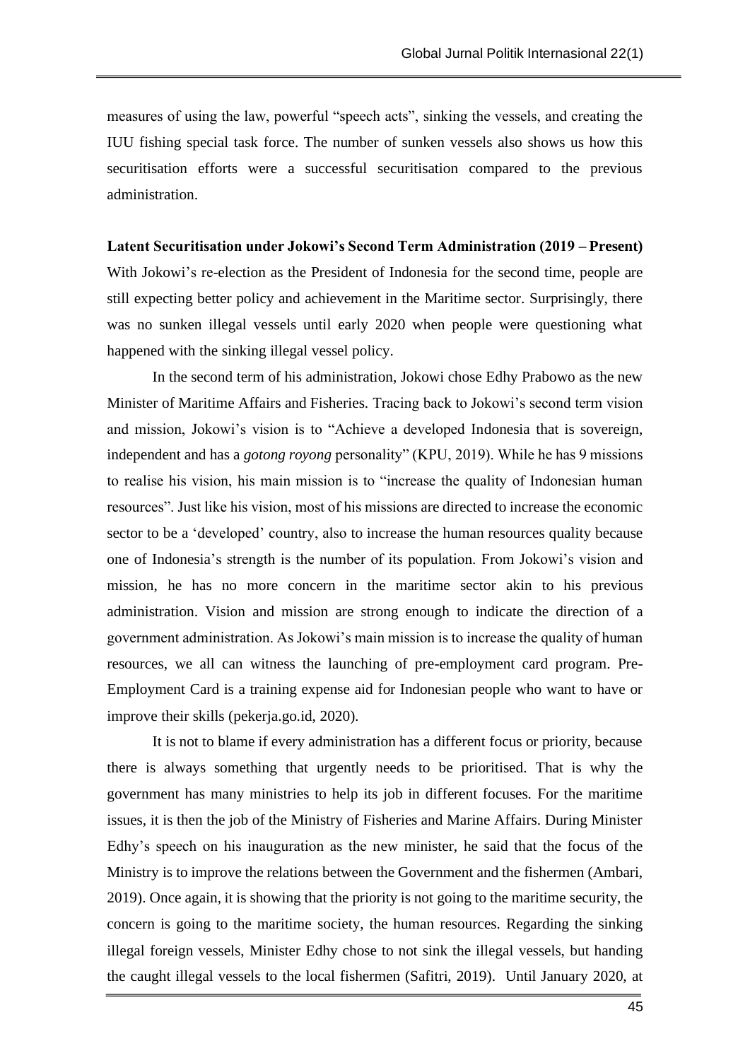measures of using the law, powerful "speech acts", sinking the vessels, and creating the IUU fishing special task force. The number of sunken vessels also shows us how this securitisation efforts were a successful securitisation compared to the previous administration.

#### **Latent Securitisation under Jokowi's Second Term Administration (2019 – Present)**

With Jokowi's re-election as the President of Indonesia for the second time, people are still expecting better policy and achievement in the Maritime sector. Surprisingly, there was no sunken illegal vessels until early 2020 when people were questioning what happened with the sinking illegal vessel policy.

In the second term of his administration, Jokowi chose Edhy Prabowo as the new Minister of Maritime Affairs and Fisheries. Tracing back to Jokowi's second term vision and mission, Jokowi's vision is to "Achieve a developed Indonesia that is sovereign, independent and has a *gotong royong* personality" (KPU, 2019). While he has 9 missions to realise his vision, his main mission is to "increase the quality of Indonesian human resources". Just like his vision, most of his missions are directed to increase the economic sector to be a 'developed' country, also to increase the human resources quality because one of Indonesia's strength is the number of its population. From Jokowi's vision and mission, he has no more concern in the maritime sector akin to his previous administration. Vision and mission are strong enough to indicate the direction of a government administration. As Jokowi's main mission is to increase the quality of human resources, we all can witness the launching of pre-employment card program. Pre-Employment Card is a training expense aid for Indonesian people who want to have or improve their skills (pekerja.go.id, 2020).

It is not to blame if every administration has a different focus or priority, because there is always something that urgently needs to be prioritised. That is why the government has many ministries to help its job in different focuses. For the maritime issues, it is then the job of the Ministry of Fisheries and Marine Affairs. During Minister Edhy's speech on his inauguration as the new minister, he said that the focus of the Ministry is to improve the relations between the Government and the fishermen (Ambari, 2019). Once again, it is showing that the priority is not going to the maritime security, the concern is going to the maritime society, the human resources. Regarding the sinking illegal foreign vessels, Minister Edhy chose to not sink the illegal vessels, but handing the caught illegal vessels to the local fishermen (Safitri, 2019). Until January 2020, at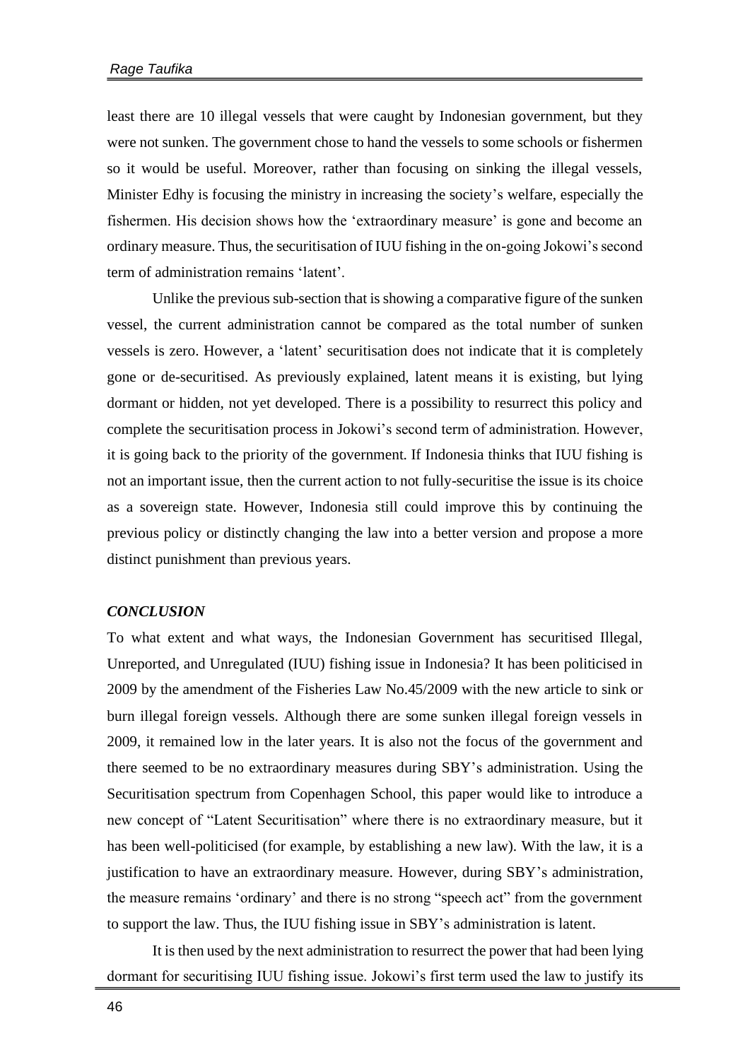least there are 10 illegal vessels that were caught by Indonesian government, but they were not sunken. The government chose to hand the vessels to some schools or fishermen so it would be useful. Moreover, rather than focusing on sinking the illegal vessels, Minister Edhy is focusing the ministry in increasing the society's welfare, especially the fishermen. His decision shows how the 'extraordinary measure' is gone and become an ordinary measure. Thus, the securitisation of IUU fishing in the on-going Jokowi's second term of administration remains 'latent'.

Unlike the previous sub-section that is showing a comparative figure of the sunken vessel, the current administration cannot be compared as the total number of sunken vessels is zero. However, a 'latent' securitisation does not indicate that it is completely gone or de-securitised. As previously explained, latent means it is existing, but lying dormant or hidden, not yet developed. There is a possibility to resurrect this policy and complete the securitisation process in Jokowi's second term of administration. However, it is going back to the priority of the government. If Indonesia thinks that IUU fishing is not an important issue, then the current action to not fully-securitise the issue is its choice as a sovereign state. However, Indonesia still could improve this by continuing the previous policy or distinctly changing the law into a better version and propose a more distinct punishment than previous years.

## *CONCLUSION*

To what extent and what ways, the Indonesian Government has securitised Illegal, Unreported, and Unregulated (IUU) fishing issue in Indonesia? It has been politicised in 2009 by the amendment of the Fisheries Law No.45/2009 with the new article to sink or burn illegal foreign vessels. Although there are some sunken illegal foreign vessels in 2009, it remained low in the later years. It is also not the focus of the government and there seemed to be no extraordinary measures during SBY's administration. Using the Securitisation spectrum from Copenhagen School, this paper would like to introduce a new concept of "Latent Securitisation" where there is no extraordinary measure, but it has been well-politicised (for example, by establishing a new law). With the law, it is a justification to have an extraordinary measure. However, during SBY's administration, the measure remains 'ordinary' and there is no strong "speech act" from the government to support the law. Thus, the IUU fishing issue in SBY's administration is latent.

It is then used by the next administration to resurrect the power that had been lying dormant for securitising IUU fishing issue. Jokowi's first term used the law to justify its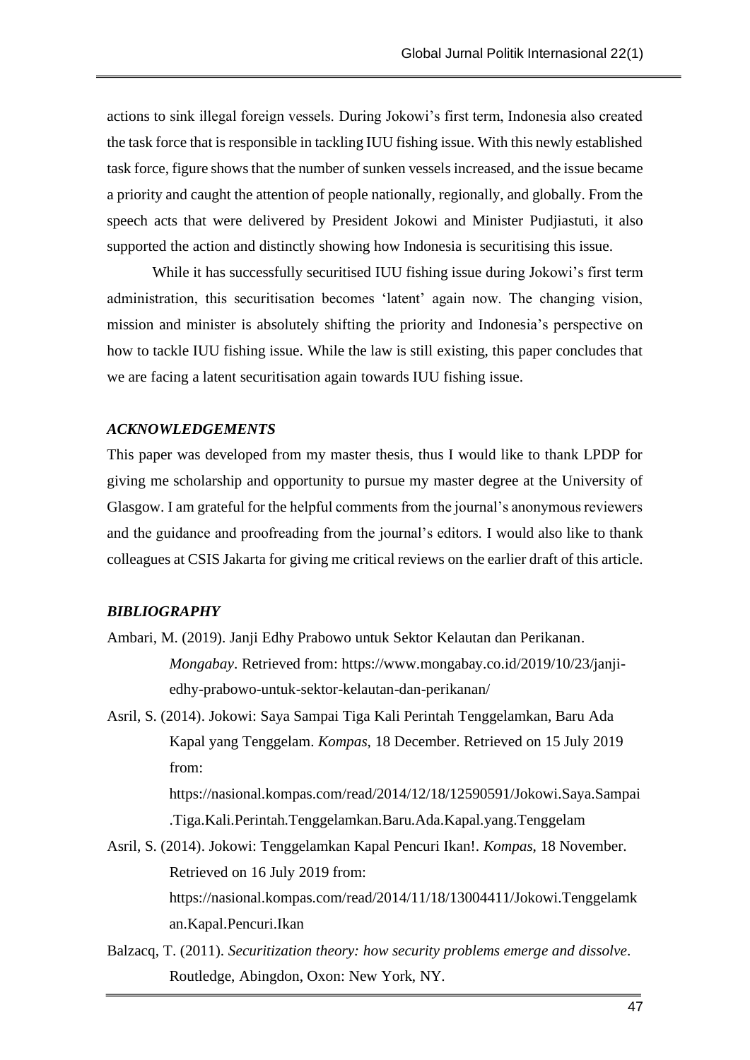actions to sink illegal foreign vessels. During Jokowi's first term, Indonesia also created the task force that is responsible in tackling IUU fishing issue. With this newly established task force, figure shows that the number of sunken vessels increased, and the issue became a priority and caught the attention of people nationally, regionally, and globally. From the speech acts that were delivered by President Jokowi and Minister Pudjiastuti, it also supported the action and distinctly showing how Indonesia is securitising this issue.

While it has successfully securitised IUU fishing issue during Jokowi's first term administration, this securitisation becomes 'latent' again now. The changing vision, mission and minister is absolutely shifting the priority and Indonesia's perspective on how to tackle IUU fishing issue. While the law is still existing, this paper concludes that we are facing a latent securitisation again towards IUU fishing issue.

#### *ACKNOWLEDGEMENTS*

This paper was developed from my master thesis, thus I would like to thank LPDP for giving me scholarship and opportunity to pursue my master degree at the University of Glasgow. I am grateful for the helpful comments from the journal's anonymous reviewers and the guidance and proofreading from the journal's editors. I would also like to thank colleagues at CSIS Jakarta for giving me critical reviews on the earlier draft of this article.

#### *BIBLIOGRAPHY*

- Ambari, M. (2019). Janji Edhy Prabowo untuk Sektor Kelautan dan Perikanan. *Mongabay*. Retrieved from: [https://www.mongabay.co.id/2019/10/23/janji](https://www.mongabay.co.id/2019/10/23/janji-edhy-prabowo-untuk-sektor-kelautan-dan-perikanan/)[edhy-prabowo-untuk-sektor-kelautan-dan-perikanan/](https://www.mongabay.co.id/2019/10/23/janji-edhy-prabowo-untuk-sektor-kelautan-dan-perikanan/)
- Asril, S. (2014). Jokowi: Saya Sampai Tiga Kali Perintah Tenggelamkan, Baru Ada Kapal yang Tenggelam. *Kompas*, 18 December. Retrieved on 15 July 2019 from:

[https://nasional.kompas.com/read/2014/12/18/12590591/Jokowi.Saya.Sampai](https://nasional.kompas.com/read/2014/12/18/12590591/Jokowi.Saya.Sampai.Tiga.Kali.Perintah.Tenggelamkan.Baru.Ada.Kapal.yang.Tenggelam) [.Tiga.Kali.Perintah.Tenggelamkan.Baru.Ada.Kapal.yang.Tenggelam](https://nasional.kompas.com/read/2014/12/18/12590591/Jokowi.Saya.Sampai.Tiga.Kali.Perintah.Tenggelamkan.Baru.Ada.Kapal.yang.Tenggelam)

- Asril, S. (2014). Jokowi: Tenggelamkan Kapal Pencuri Ikan!. *Kompas*, 18 November. Retrieved on 16 July 2019 from: [https://nasional.kompas.com/read/2014/11/18/13004411/Jokowi.Tenggelamk](https://nasional.kompas.com/read/2014/11/18/13004411/Jokowi.Tenggelamkan.Kapal.Pencuri.Ikan) [an.Kapal.Pencuri.Ikan](https://nasional.kompas.com/read/2014/11/18/13004411/Jokowi.Tenggelamkan.Kapal.Pencuri.Ikan)
- Balzacq, T. (2011). *Securitization theory: how security problems emerge and dissolve*. Routledge, Abingdon, Oxon: New York, NY.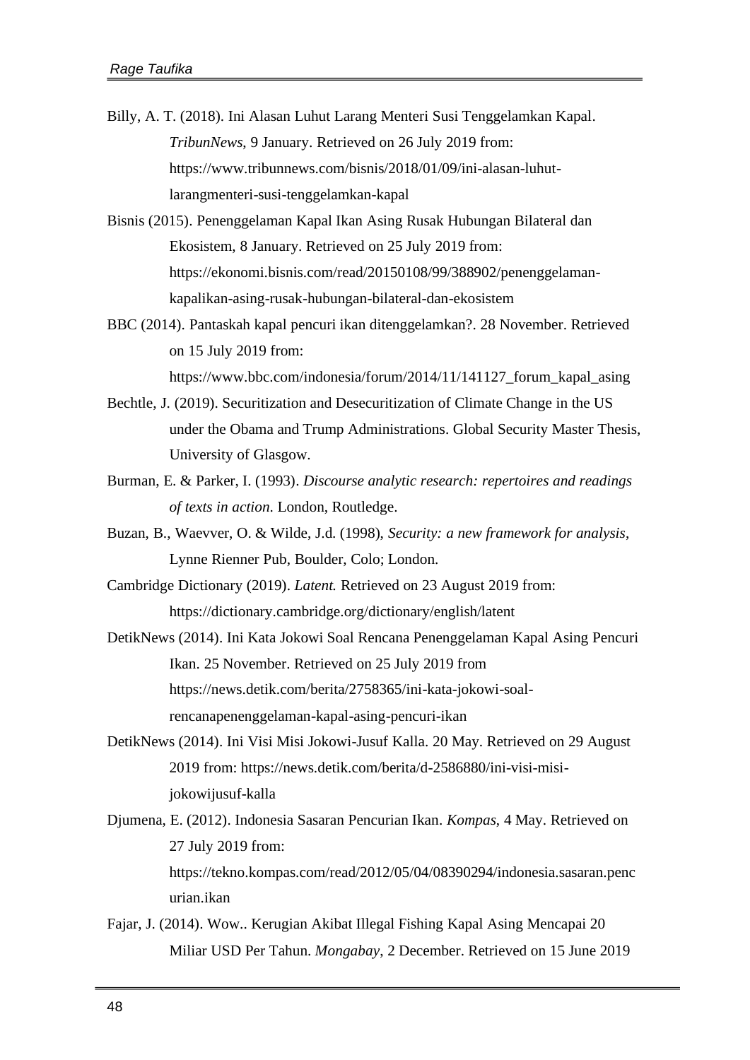- Billy, A. T. (2018). Ini Alasan Luhut Larang Menteri Susi Tenggelamkan Kapal. *TribunNews*, 9 January. Retrieved on 26 July 2019 from: [https://www.tribunnews.com/bisnis/2018/01/09/ini-alasan-luhut](https://www.tribunnews.com/bisnis/2018/01/09/ini-alasan-luhut-larangmenteri-susi-tenggelamkan-kapal)[larangmenteri-susi-tenggelamkan-kapal](https://www.tribunnews.com/bisnis/2018/01/09/ini-alasan-luhut-larangmenteri-susi-tenggelamkan-kapal)
- Bisnis (2015). Penenggelaman Kapal Ikan Asing Rusak Hubungan Bilateral dan Ekosistem, 8 January. Retrieved on 25 July 2019 from: [https://ekonomi.bisnis.com/read/20150108/99/388902/penenggelaman](https://ekonomi.bisnis.com/read/20150108/99/388902/penenggelaman-kapalikan-asing-rusak-hubungan-bilateral-dan-ekosistem)[kapalikan-asing-rusak-hubungan-bilateral-dan-ekosistem](https://ekonomi.bisnis.com/read/20150108/99/388902/penenggelaman-kapalikan-asing-rusak-hubungan-bilateral-dan-ekosistem)
- BBC (2014). Pantaskah kapal pencuri ikan ditenggelamkan?. 28 November. Retrieved on 15 July 2019 from: [https://www.bbc.com/indonesia/forum/2014/11/141127\\_forum\\_kapal\\_asing](https://www.bbc.com/indonesia/forum/2014/11/141127_forum_kapal_asing)
- Bechtle, J. (2019). Securitization and Desecuritization of Climate Change in the US under the Obama and Trump Administrations. Global Security Master Thesis, University of Glasgow.
- Burman, E. & Parker, I. (1993). *Discourse analytic research: repertoires and readings of texts in action*. London, Routledge.
- Buzan, B., Waevver, O. & Wilde, J.d. (1998), *Security: a new framework for analysis*, Lynne Rienner Pub, Boulder, Colo; London.
- Cambridge Dictionary (2019). *Latent.* Retrieved on 23 August 2019 from: <https://dictionary.cambridge.org/dictionary/english/latent>

DetikNews (2014). Ini Kata Jokowi Soal Rencana Penenggelaman Kapal Asing Pencuri Ikan. 25 November. Retrieved on 25 July 2019 from [https://news.detik.com/berita/2758365/ini-kata-jokowi-soal](https://news.detik.com/berita/2758365/ini-kata-jokowi-soal-rencanapenenggelaman-kapal-asing-pencuri-ikan)[rencanapenenggelaman-kapal-asing-pencuri-ikan](https://news.detik.com/berita/2758365/ini-kata-jokowi-soal-rencanapenenggelaman-kapal-asing-pencuri-ikan)

- DetikNews (2014). Ini Visi Misi Jokowi-Jusuf Kalla. 20 May. Retrieved on 29 August 2019 from: [https://news.detik.com/berita/d-2586880/ini-visi-misi](https://news.detik.com/berita/d-2586880/ini-visi-misi-jokowijusuf-kalla)[jokowijusuf-kalla](https://news.detik.com/berita/d-2586880/ini-visi-misi-jokowijusuf-kalla)
- Djumena, E. (2012). Indonesia Sasaran Pencurian Ikan. *Kompas*, 4 May. Retrieved on 27 July 2019 from: [https://tekno.kompas.com/read/2012/05/04/08390294/indonesia.sasaran.penc](https://tekno.kompas.com/read/2012/05/04/08390294/indonesia.sasaran.pencurian.ikan) [urian.ikan](https://tekno.kompas.com/read/2012/05/04/08390294/indonesia.sasaran.pencurian.ikan)
- Fajar, J. (2014). Wow.. Kerugian Akibat Illegal Fishing Kapal Asing Mencapai 20 Miliar USD Per Tahun. *Mongabay*, 2 December. Retrieved on 15 June 2019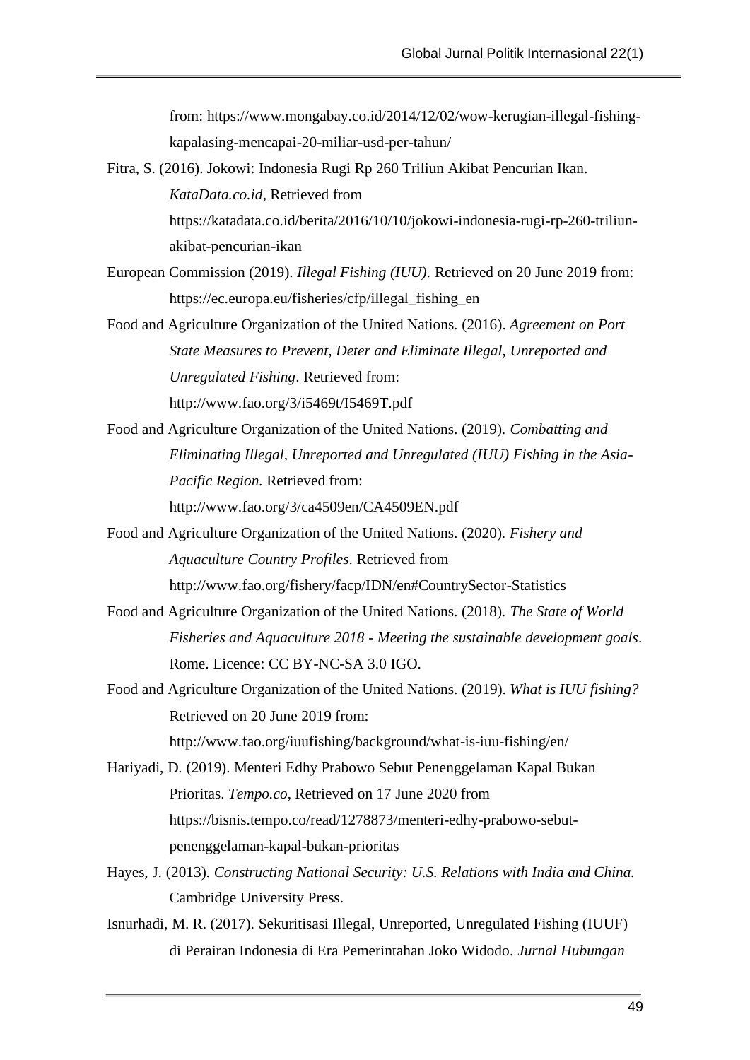from: [https://www.mongabay.co.id/2014/12/02/wow-kerugian-illegal-fishing](https://www.mongabay.co.id/2014/12/02/wow-kerugian-illegal-fishing-kapalasing-mencapai-20-miliar-usd-per-tahun/)[kapalasing-mencapai-20-miliar-usd-per-tahun/](https://www.mongabay.co.id/2014/12/02/wow-kerugian-illegal-fishing-kapalasing-mencapai-20-miliar-usd-per-tahun/)

- Fitra, S. (2016). Jokowi: Indonesia Rugi Rp 260 Triliun Akibat Pencurian Ikan. *KataData.co.id*, Retrieved from [https://katadata.co.id/berita/2016/10/10/jokowi-indonesia-rugi-rp-260-triliun](https://katadata.co.id/berita/2016/10/10/jokowi-indonesia-rugi-rp-260-triliun-akibat-pencurian-ikan)[akibat-pencurian-ikan](https://katadata.co.id/berita/2016/10/10/jokowi-indonesia-rugi-rp-260-triliun-akibat-pencurian-ikan)
- European Commission (2019). *Illegal Fishing (IUU).* Retrieved on 20 June 2019 from: [https://ec.europa.eu/fisheries/cfp/illegal\\_fishing\\_en](https://ec.europa.eu/fisheries/cfp/illegal_fishing_en)
- Food and Agriculture Organization of the United Nations. (2016). *Agreement on Port State Measures to Prevent, Deter and Eliminate Illegal, Unreported and Unregulated Fishing*. Retrieved from: <http://www.fao.org/3/i5469t/I5469T.pdf>
- Food and Agriculture Organization of the United Nations. (2019). *Combatting and Eliminating Illegal, Unreported and Unregulated (IUU) Fishing in the Asia-Pacific Region*. Retrieved from: <http://www.fao.org/3/ca4509en/CA4509EN.pdf>
- Food and Agriculture Organization of the United Nations. (2020). *Fishery and Aquaculture Country Profiles*. Retrieved from <http://www.fao.org/fishery/facp/IDN/en#CountrySector-Statistics>
- Food and Agriculture Organization of the United Nations. (2018). *The State of World Fisheries and Aquaculture 2018 - Meeting the sustainable development goals*. Rome. Licence: CC BY-NC-SA 3.0 IGO.
- Food and Agriculture Organization of the United Nations. (2019). *What is IUU fishing?* Retrieved on 20 June 2019 from: <http://www.fao.org/iuufishing/background/what-is-iuu-fishing/en/>
- Hariyadi, D. (2019). Menteri Edhy Prabowo Sebut Penenggelaman Kapal Bukan Prioritas. *Tempo.co*, Retrieved on 17 June 2020 from [https://bisnis.tempo.co/read/1278873/menteri-edhy-prabowo-sebut](https://bisnis.tempo.co/read/1278873/menteri-edhy-prabowo-sebut-penenggelaman-kapal-bukan-prioritas)[penenggelaman-kapal-bukan-prioritas](https://bisnis.tempo.co/read/1278873/menteri-edhy-prabowo-sebut-penenggelaman-kapal-bukan-prioritas)
- Hayes, J. (2013). *Constructing National Security: U.S. Relations with India and China.* Cambridge University Press.
- Isnurhadi, M. R. (2017). Sekuritisasi Illegal, Unreported, Unregulated Fishing (IUUF) di Perairan Indonesia di Era Pemerintahan Joko Widodo. *Jurnal Hubungan*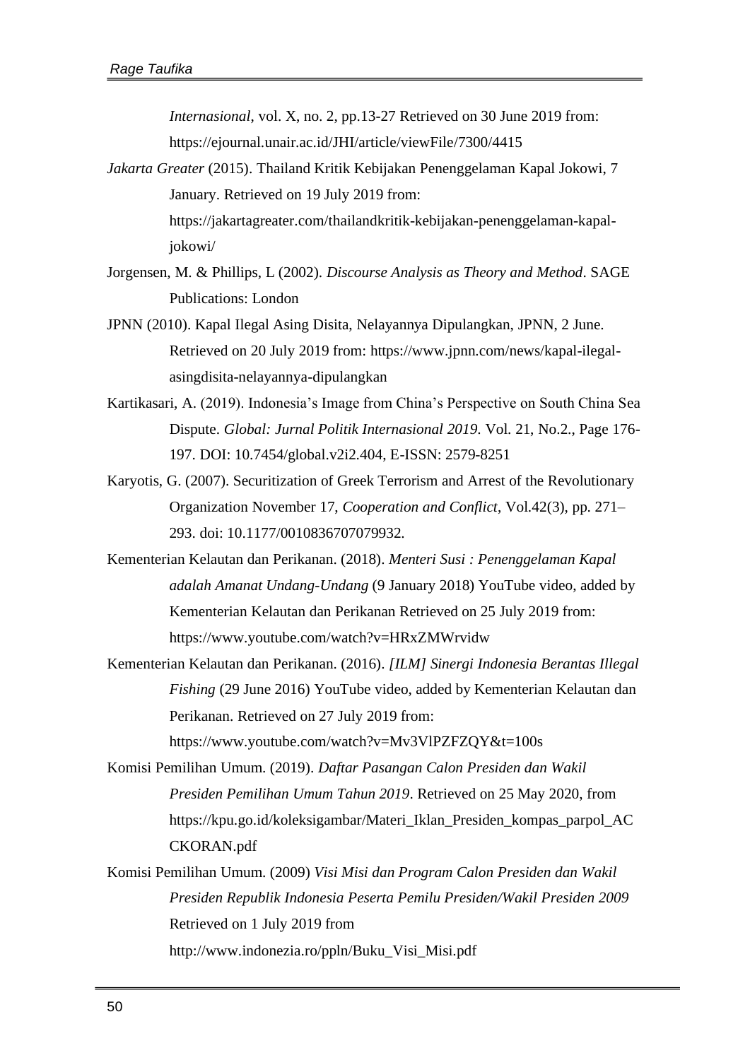*Internasional*, vol. X, no. 2, pp.13-27 Retrieved on 30 June 2019 from: <https://ejournal.unair.ac.id/JHI/article/viewFile/7300/4415>

- *Jakarta Greater* (2015). Thailand Kritik Kebijakan Penenggelaman Kapal Jokowi, 7 January. Retrieved on 19 July 2019 from: [https://jakartagreater.com/thailandkritik-kebijakan-penenggelaman-kapal](https://jakartagreater.com/thailandkritik-kebijakan-penenggelaman-kapal-jokowi/)[jokowi/](https://jakartagreater.com/thailandkritik-kebijakan-penenggelaman-kapal-jokowi/)
- Jorgensen, M. & Phillips, L (2002). *Discourse Analysis as Theory and Method*. SAGE Publications: London
- JPNN (2010). Kapal Ilegal Asing Disita, Nelayannya Dipulangkan, JPNN, 2 June. Retrieved on 20 July 2019 from: [https://www.jpnn.com/news/kapal-ilegal](https://www.jpnn.com/news/kapal-ilegal-asingdisita-nelayannya-dipulangkan)[asingdisita-nelayannya-dipulangkan](https://www.jpnn.com/news/kapal-ilegal-asingdisita-nelayannya-dipulangkan)
- Kartikasari, A. (2019). Indonesia's Image from China's Perspective on South China Sea Dispute. *Global: Jurnal Politik Internasional 2019*. Vol. 21, No.2., Page 176- 197. DOI: 10.7454/global.v2i2.404, E-ISSN: 2579-8251
- Karyotis, G. (2007). Securitization of Greek Terrorism and Arrest of the Revolutionary Organization November 17, *Cooperation and Conflict*, Vol.42(3), pp. 271– 293. doi: 10.1177/0010836707079932.
- Kementerian Kelautan dan Perikanan. (2018). *Menteri Susi : Penenggelaman Kapal adalah Amanat Undang-Undang* (9 January 2018) YouTube video, added by Kementerian Kelautan dan Perikanan Retrieved on 25 July 2019 from: <https://www.youtube.com/watch?v=HRxZMWrvidw>
- Kementerian Kelautan dan Perikanan. (2016). *[ILM] Sinergi Indonesia Berantas Illegal Fishing* (29 June 2016) YouTube video, added by Kementerian Kelautan dan Perikanan. Retrieved on 27 July 2019 from: <https://www.youtube.com/watch?v=Mv3VlPZFZQY&t=100s>
- Komisi Pemilihan Umum. (2019). *Daftar Pasangan Calon Presiden dan Wakil Presiden Pemilihan Umum Tahun 2019*. Retrieved on 25 May 2020, from [https://kpu.go.id/koleksigambar/Materi\\_Iklan\\_Presiden\\_kompas\\_parpol\\_AC](https://kpu.go.id/koleksigambar/Materi_Iklan_Presiden_kompas_parpol_ACCKORAN.pdf) [CKORAN.pdf](https://kpu.go.id/koleksigambar/Materi_Iklan_Presiden_kompas_parpol_ACCKORAN.pdf)
- Komisi Pemilihan Umum. (2009) *Visi Misi dan Program Calon Presiden dan Wakil Presiden Republik Indonesia Peserta Pemilu Presiden/Wakil Presiden 2009* Retrieved on 1 July 2019 from [http://www.indonezia.ro/ppln/Buku\\_Visi\\_Misi.pdf](http://www.indonezia.ro/ppln/Buku_Visi_Misi.pdf)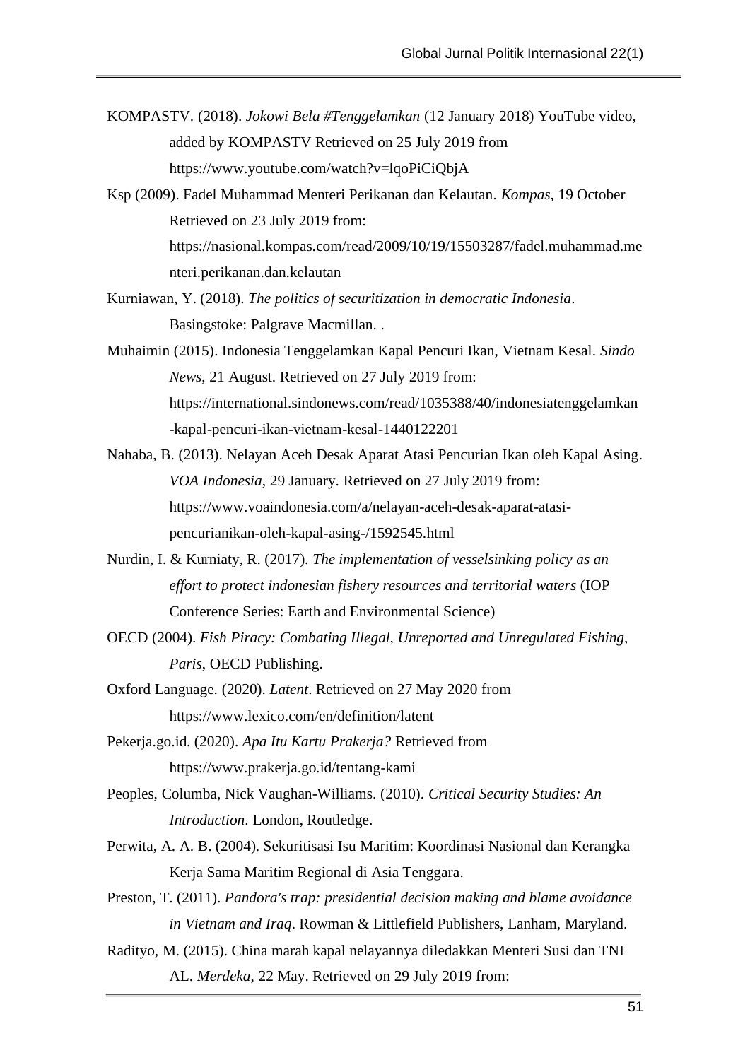- KOMPASTV. (2018). *Jokowi Bela #Tenggelamkan* (12 January 2018) YouTube video, added by KOMPASTV Retrieved on 25 July 2019 from <https://www.youtube.com/watch?v=lqoPiCiQbjA>
- Ksp (2009). Fadel Muhammad Menteri Perikanan dan Kelautan. *Kompas*, 19 October Retrieved on 23 July 2019 from: [https://nasional.kompas.com/read/2009/10/19/15503287/fadel.muhammad.me](https://nasional.kompas.com/read/2009/10/19/15503287/fadel.muhammad.menteri.perikanan.dan.kelautan) [nteri.perikanan.dan.kelautan](https://nasional.kompas.com/read/2009/10/19/15503287/fadel.muhammad.menteri.perikanan.dan.kelautan)
- Kurniawan, Y. (2018). *The politics of securitization in democratic Indonesia*. Basingstoke: Palgrave Macmillan. .
- Muhaimin (2015). Indonesia Tenggelamkan Kapal Pencuri Ikan, Vietnam Kesal. *Sindo News*, 21 August. Retrieved on 27 July 2019 from: [https://international.sindonews.com/read/1035388/40/indonesiatenggelamkan](https://international.sindonews.com/read/1035388/40/indonesiatenggelamkan-kapal-pencuri-ikan-vietnam-kesal-1440122201) [-kapal-pencuri-ikan-vietnam-kesal-1440122201](https://international.sindonews.com/read/1035388/40/indonesiatenggelamkan-kapal-pencuri-ikan-vietnam-kesal-1440122201)
- Nahaba, B. (2013). Nelayan Aceh Desak Aparat Atasi Pencurian Ikan oleh Kapal Asing. *VOA Indonesia*, 29 January. Retrieved on 27 July 2019 from: [https://www.voaindonesia.com/a/nelayan-aceh-desak-aparat-atasi](https://www.voaindonesia.com/a/nelayan-aceh-desak-aparat-atasi-pencurianikan-oleh-kapal-asing-/1592545.html)[pencurianikan-oleh-kapal-asing-/1592545.html](https://www.voaindonesia.com/a/nelayan-aceh-desak-aparat-atasi-pencurianikan-oleh-kapal-asing-/1592545.html)
- Nurdin, I. & Kurniaty, R. (2017). *The implementation of vesselsinking policy as an effort to protect indonesian fishery resources and territorial waters* (IOP Conference Series: Earth and Environmental Science)
- OECD (2004). *Fish Piracy: Combating Illegal, Unreported and Unregulated Fishing, Paris*, OECD Publishing.
- Oxford Language. (2020). *Latent*. Retrieved on 27 May 2020 from <https://www.lexico.com/en/definition/latent>
- Pekerja.go.id. (2020). *Apa Itu Kartu Prakerja?* Retrieved from <https://www.prakerja.go.id/tentang-kami>
- Peoples, Columba, Nick Vaughan-Williams. (2010). *Critical Security Studies: An Introduction*. London, Routledge.
- Perwita, A. A. B. (2004). Sekuritisasi Isu Maritim: Koordinasi Nasional dan Kerangka Kerja Sama Maritim Regional di Asia Tenggara.
- Preston, T. (2011). *Pandora's trap: presidential decision making and blame avoidance in Vietnam and Iraq*. Rowman & Littlefield Publishers, Lanham, Maryland.
- Radityo, M. (2015). China marah kapal nelayannya diledakkan Menteri Susi dan TNI AL. *Merdeka*, 22 May. Retrieved on 29 July 2019 from: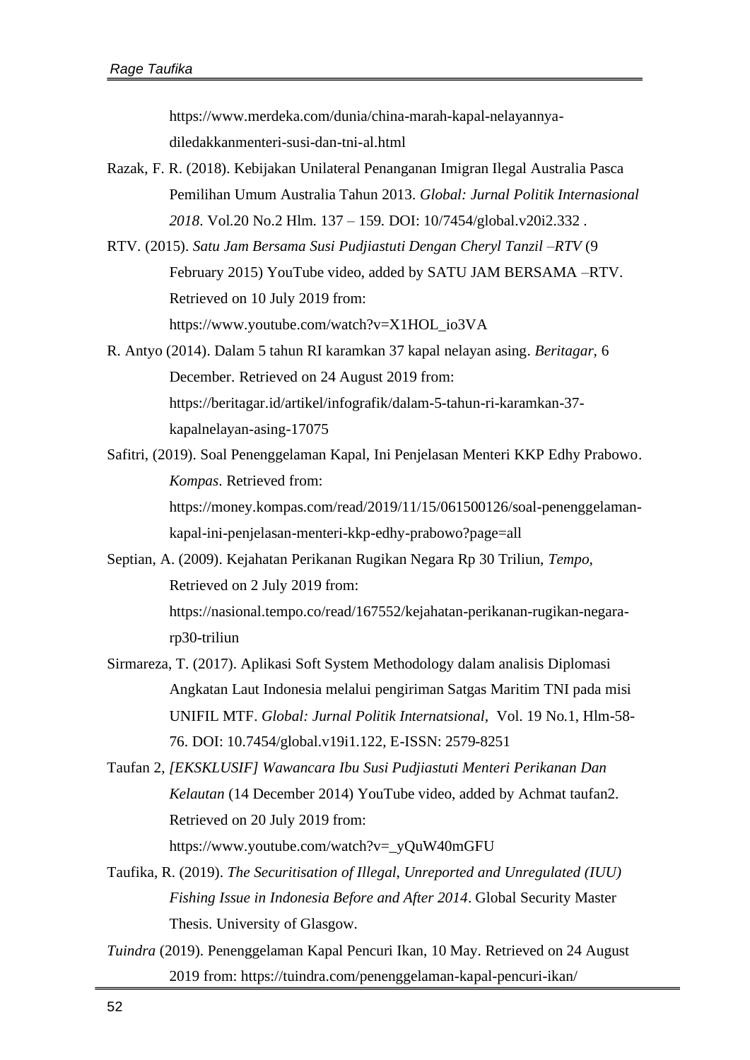[https://www.merdeka.com/dunia/china-marah-kapal-nelayannya](https://www.merdeka.com/dunia/china-marah-kapal-nelayannya-diledakkanmenteri-susi-dan-tni-al.html)[diledakkanmenteri-susi-dan-tni-al.html](https://www.merdeka.com/dunia/china-marah-kapal-nelayannya-diledakkanmenteri-susi-dan-tni-al.html)

- Razak, F. R. (2018). Kebijakan Unilateral Penanganan Imigran Ilegal Australia Pasca Pemilihan Umum Australia Tahun 2013. *Global: Jurnal Politik Internasional 2018*. Vol.20 No.2 Hlm. 137 – 159. DOI: 10/7454/global.v20i2.332 .
- RTV. (2015). *Satu Jam Bersama Susi Pudjiastuti Dengan Cheryl Tanzil –RTV* (9 February 2015) YouTube video, added by SATU JAM BERSAMA –RTV. Retrieved on 10 July 2019 from: [https://www.youtube.com/watch?v=X1HOL\\_io3VA](https://www.youtube.com/watch?v=X1HOL_io3VA)
- R. Antyo (2014). Dalam 5 tahun RI karamkan 37 kapal nelayan asing. *Beritagar*, 6 December. Retrieved on 24 August 2019 from: [https://beritagar.id/artikel/infografik/dalam-5-tahun-ri-karamkan-37](https://beritagar.id/artikel/infografik/dalam-5-tahun-ri-karamkan-37-kapalnelayan-asing-17075) [kapalnelayan-asing-17075](https://beritagar.id/artikel/infografik/dalam-5-tahun-ri-karamkan-37-kapalnelayan-asing-17075)
- Safitri, (2019). Soal Penenggelaman Kapal, Ini Penjelasan Menteri KKP Edhy Prabowo. *Kompas*. Retrieved from: [https://money.kompas.com/read/2019/11/15/061500126/soal-penenggelaman-](https://money.kompas.com/read/2019/11/15/061500126/soal-penenggelaman-kapal-ini-penjelasan-menteri-kkp-edhy-prabowo?page=all)

[kapal-ini-penjelasan-menteri-kkp-edhy-prabowo?page=all](https://money.kompas.com/read/2019/11/15/061500126/soal-penenggelaman-kapal-ini-penjelasan-menteri-kkp-edhy-prabowo?page=all)

- Septian, A. (2009). Kejahatan Perikanan Rugikan Negara Rp 30 Triliun, *Tempo*, Retrieved on 2 July 2019 from: [https://nasional.tempo.co/read/167552/kejahatan-perikanan-rugikan-negara](https://nasional.tempo.co/read/167552/kejahatan-perikanan-rugikan-negara-rp30-triliun)[rp30-triliun](https://nasional.tempo.co/read/167552/kejahatan-perikanan-rugikan-negara-rp30-triliun)
- Sirmareza, T. (2017). Aplikasi Soft System Methodology dalam analisis Diplomasi Angkatan Laut Indonesia melalui pengiriman Satgas Maritim TNI pada misi UNIFIL MTF. *Global: Jurnal Politik Internatsional,* Vol. 19 No.1, Hlm-58- 76. DOI: 10.7454/global.v19i1.122, E-ISSN: 2579-8251
- Taufan 2, *[EKSKLUSIF] Wawancara Ibu Susi Pudjiastuti Menteri Perikanan Dan Kelautan* (14 December 2014) YouTube video, added by Achmat taufan2. Retrieved on 20 July 2019 from: [https://www.youtube.com/watch?v=\\_yQuW40mGFU](https://www.youtube.com/watch?v=_yQuW40mGFU)
- Taufika, R. (2019). *The Securitisation of Illegal, Unreported and Unregulated (IUU) Fishing Issue in Indonesia Before and After 2014*. Global Security Master Thesis. University of Glasgow.
- *Tuindra* (2019). Penenggelaman Kapal Pencuri Ikan, 10 May. Retrieved on 24 August 2019 from:<https://tuindra.com/penenggelaman-kapal-pencuri-ikan/>